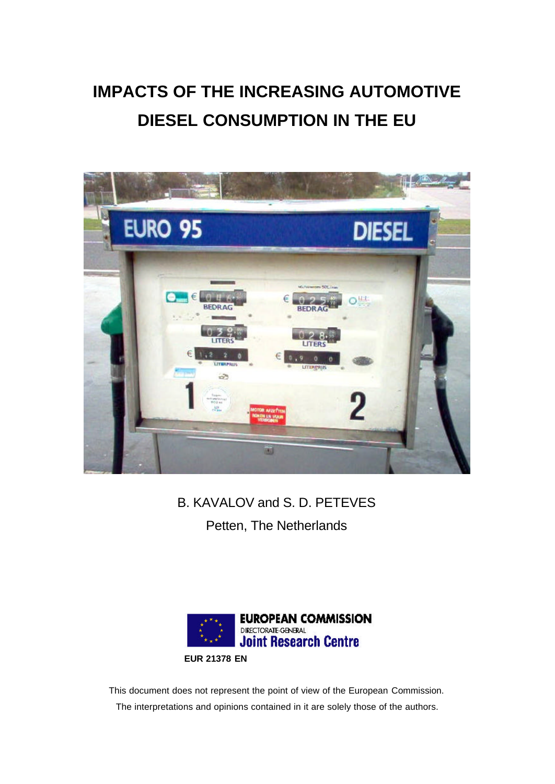# **IMPACTS OF THE INCREASING AUTOMOTIVE DIESEL CONSUMPTION IN THE EU**



# B. KAVALOV and S. D. PETEVES Petten, The Netherlands



This document does not represent the point of view of the European Commission. The interpretations and opinions contained in it are solely those of the authors.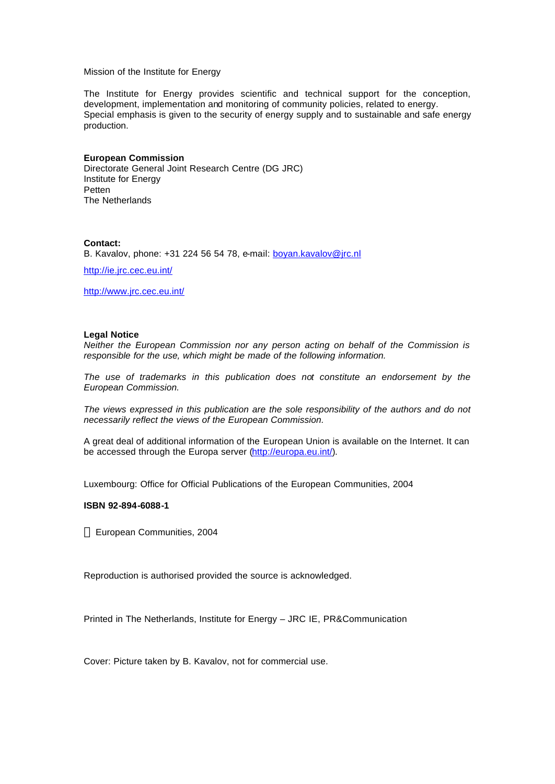#### Mission of the Institute for Energy

The Institute for Energy provides scientific and technical support for the conception, development, implementation and monitoring of community policies, related to energy. Special emphasis is given to the security of energy supply and to sustainable and safe energy production.

#### **European Commission**

Directorate General Joint Research Centre (DG JRC) Institute for Energy Petten The Netherlands

#### **Contact:**

B. Kavalov, phone: +31 224 56 54 78, e-mail: boyan.kavalov@jrc.nl

http://ie.jrc.cec.eu.int/

http://www.jrc.cec.eu.int/

#### **Legal Notice**

*Neither the European Commission nor any person acting on behalf of the Commission is responsible for the use, which might be made of the following information.*

*The use of trademarks in this publication does not constitute an endorsement by the European Commission.*

*The views expressed in this publication are the sole responsibility of the authors and do not necessarily reflect the views of the European Commission.*

A great deal of additional information of the European Union is available on the Internet. It can be accessed through the Europa server (http://europa.eu.int/).

Luxembourg: Office for Official Publications of the European Communities, 2004

#### **ISBN 92-894-6088-1**

European Communities, 2004

Reproduction is authorised provided the source is acknowledged.

Printed in The Netherlands, Institute for Energy – JRC IE, PR&Communication

Cover: Picture taken by B. Kavalov, not for commercial use.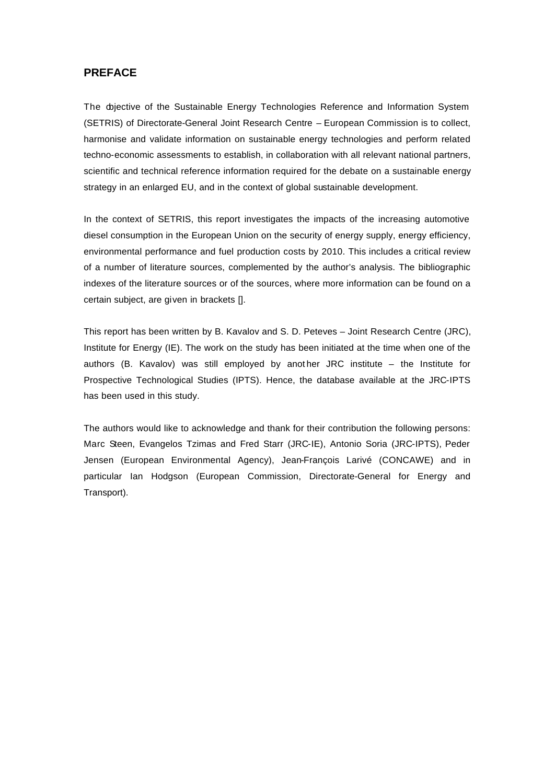# **PREFACE**

The dojective of the Sustainable Energy Technologies Reference and Information System (SETRIS) of Directorate-General Joint Research Centre – European Commission is to collect, harmonise and validate information on sustainable energy technologies and perform related techno-economic assessments to establish, in collaboration with all relevant national partners, scientific and technical reference information required for the debate on a sustainable energy strategy in an enlarged EU, and in the context of global sustainable development.

In the context of SETRIS, this report investigates the impacts of the increasing automotive diesel consumption in the European Union on the security of energy supply, energy efficiency, environmental performance and fuel production costs by 2010. This includes a critical review of a number of literature sources, complemented by the author's analysis. The bibliographic indexes of the literature sources or of the sources, where more information can be found on a certain subject, are given in brackets [].

This report has been written by B. Kavalov and S. D. Peteves – Joint Research Centre (JRC), Institute for Energy (IE). The work on the study has been initiated at the time when one of the authors (B. Kavalov) was still employed by anot her JRC institute – the Institute for Prospective Technological Studies (IPTS). Hence, the database available at the JRC-IPTS has been used in this study.

The authors would like to acknowledge and thank for their contribution the following persons: Marc Steen, Evangelos Tzimas and Fred Starr (JRC-IE), Antonio Soria (JRC-IPTS), Peder Jensen (European Environmental Agency), Jean-François Larivé (CONCAWE) and in particular Ian Hodgson (European Commission, Directorate-General for Energy and Transport).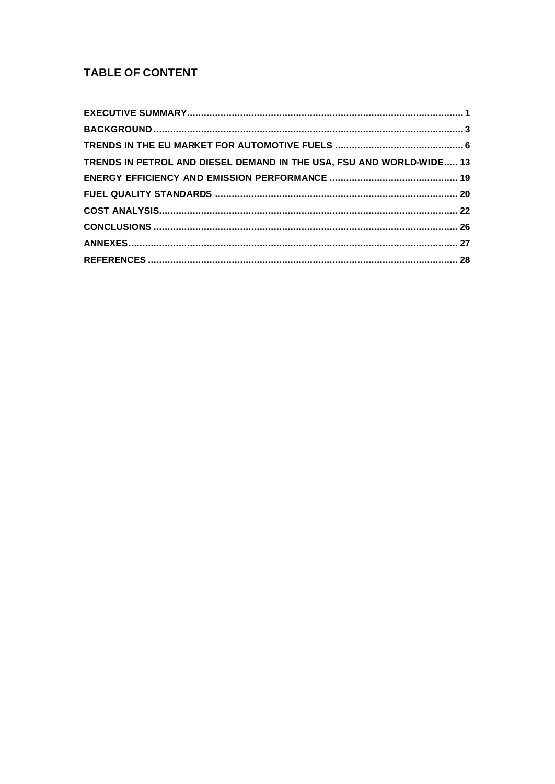# **TABLE OF CONTENT**

| TRENDS IN PETROL AND DIESEL DEMAND IN THE USA, FSU AND WORLD-WIDE 13 |
|----------------------------------------------------------------------|
|                                                                      |
|                                                                      |
|                                                                      |
|                                                                      |
|                                                                      |
|                                                                      |
|                                                                      |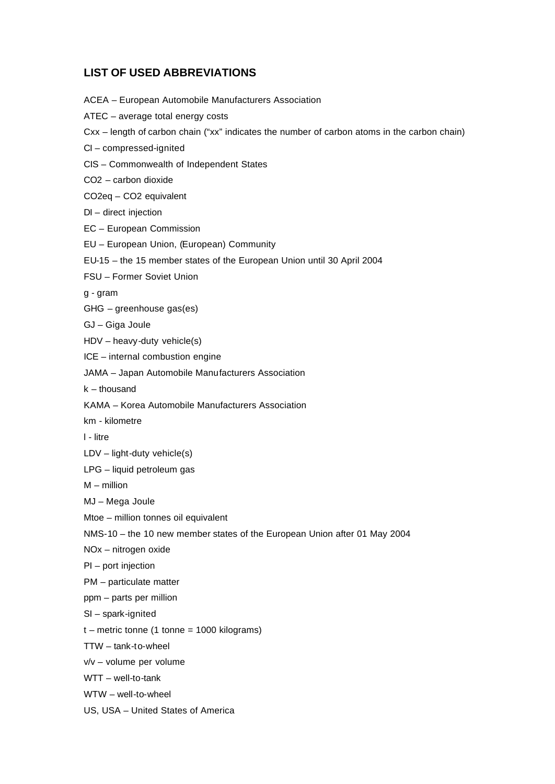# **LIST OF USED ABBREVIATIONS**

ACEA – European Automobile Manufacturers Association ATEC – average total energy costs Cxx – length of carbon chain ("xx" indicates the number of carbon atoms in the carbon chain) CI – compressed-ignited CIS – Commonwealth of Independent States CO2 – carbon dioxide CO2eq – CO2 equivalent DI – direct injection EC – European Commission EU – European Union, (European) Community EU-15 – the 15 member states of the European Union until 30 April 2004 FSU – Former Soviet Union g - gram GHG – greenhouse gas(es) GJ – Giga Joule HDV – heavy-duty vehicle(s) ICE – internal combustion engine JAMA – Japan Automobile Manufacturers Association k – thousand KAMA – Korea Automobile Manufacturers Association km - kilometre l - litre LDV – light-duty vehicle(s) LPG – liquid petroleum gas M – million MJ – Mega Joule Mtoe – million tonnes oil equivalent NMS-10 – the 10 new member states of the European Union after 01 May 2004 NOx – nitrogen oxide PI – port injection PM – particulate matter ppm – parts per million SI – spark-ignited  $t$  – metric tonne (1 tonne = 1000 kilograms) TTW – tank-to-wheel v/v – volume per volume WTT – well-to-tank

- WTW well-to-wheel
- US, USA United States of America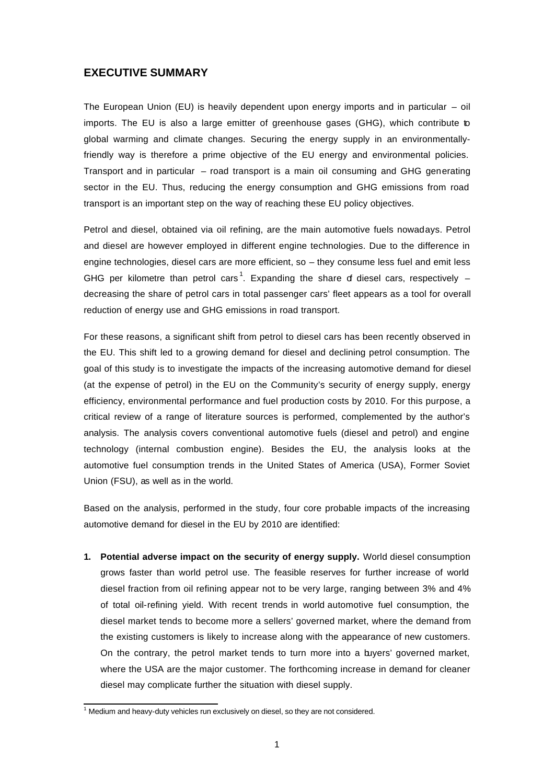## **EXECUTIVE SUMMARY**

The European Union (EU) is heavily dependent upon energy imports and in particular – oil imports. The EU is also a large emitter of greenhouse gases (GHG), which contribute to global warming and climate changes. Securing the energy supply in an environmentallyfriendly way is therefore a prime objective of the EU energy and environmental policies. Transport and in particular – road transport is a main oil consuming and GHG generating sector in the EU. Thus, reducing the energy consumption and GHG emissions from road transport is an important step on the way of reaching these EU policy objectives.

Petrol and diesel, obtained via oil refining, are the main automotive fuels nowadays. Petrol and diesel are however employed in different engine technologies. Due to the difference in engine technologies, diesel cars are more efficient, so – they consume less fuel and emit less GHG per kilometre than petrol cars<sup>1</sup>. Expanding the share of diesel cars, respectively  $$ decreasing the share of petrol cars in total passenger cars' fleet appears as a tool for overall reduction of energy use and GHG emissions in road transport.

For these reasons, a significant shift from petrol to diesel cars has been recently observed in the EU. This shift led to a growing demand for diesel and declining petrol consumption. The goal of this study is to investigate the impacts of the increasing automotive demand for diesel (at the expense of petrol) in the EU on the Community's security of energy supply, energy efficiency, environmental performance and fuel production costs by 2010. For this purpose, a critical review of a range of literature sources is performed, complemented by the author's analysis. The analysis covers conventional automotive fuels (diesel and petrol) and engine technology (internal combustion engine). Besides the EU, the analysis looks at the automotive fuel consumption trends in the United States of America (USA), Former Soviet Union (FSU), as well as in the world.

Based on the analysis, performed in the study, four core probable impacts of the increasing automotive demand for diesel in the EU by 2010 are identified:

**1. Potential adverse impact on the security of energy supply.** World diesel consumption grows faster than world petrol use. The feasible reserves for further increase of world diesel fraction from oil refining appear not to be very large, ranging between 3% and 4% of total oil-refining yield. With recent trends in world automotive fuel consumption, the diesel market tends to become more a sellers' governed market, where the demand from the existing customers is likely to increase along with the appearance of new customers. On the contrary, the petrol market tends to turn more into a buyers' governed market, where the USA are the major customer. The forthcoming increase in demand for cleaner diesel may complicate further the situation with diesel supply.

 1 Medium and heavy-duty vehicles run exclusively on diesel, so they are not considered.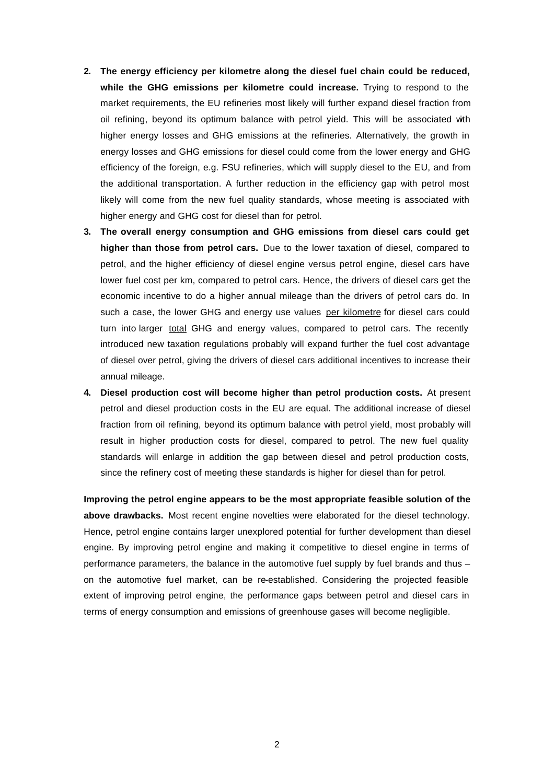- **2. The energy efficiency per kilometre along the diesel fuel chain could be reduced, while the GHG emissions per kilometre could increase.** Trying to respond to the market requirements, the EU refineries most likely will further expand diesel fraction from oil refining, beyond its optimum balance with petrol yield. This will be associated with higher energy losses and GHG emissions at the refineries. Alternatively, the growth in energy losses and GHG emissions for diesel could come from the lower energy and GHG efficiency of the foreign, e.g. FSU refineries, which will supply diesel to the EU, and from the additional transportation. A further reduction in the efficiency gap with petrol most likely will come from the new fuel quality standards, whose meeting is associated with higher energy and GHG cost for diesel than for petrol.
- **3. The overall energy consumption and GHG emissions from diesel cars could get higher than those from petrol cars.** Due to the lower taxation of diesel, compared to petrol, and the higher efficiency of diesel engine versus petrol engine, diesel cars have lower fuel cost per km, compared to petrol cars. Hence, the drivers of diesel cars get the economic incentive to do a higher annual mileage than the drivers of petrol cars do. In such a case, the lower GHG and energy use values per kilometre for diesel cars could turn into larger total GHG and energy values, compared to petrol cars. The recently introduced new taxation regulations probably will expand further the fuel cost advantage of diesel over petrol, giving the drivers of diesel cars additional incentives to increase their annual mileage.
- **4. Diesel production cost will become higher than petrol production costs.** At present petrol and diesel production costs in the EU are equal. The additional increase of diesel fraction from oil refining, beyond its optimum balance with petrol yield, most probably will result in higher production costs for diesel, compared to petrol. The new fuel quality standards will enlarge in addition the gap between diesel and petrol production costs, since the refinery cost of meeting these standards is higher for diesel than for petrol.

**Improving the petrol engine appears to be the most appropriate feasible solution of the above drawbacks.** Most recent engine novelties were elaborated for the diesel technology. Hence, petrol engine contains larger unexplored potential for further development than diesel engine. By improving petrol engine and making it competitive to diesel engine in terms of performance parameters, the balance in the automotive fuel supply by fuel brands and thus – on the automotive fuel market, can be re-established. Considering the projected feasible extent of improving petrol engine, the performance gaps between petrol and diesel cars in terms of energy consumption and emissions of greenhouse gases will become negligible.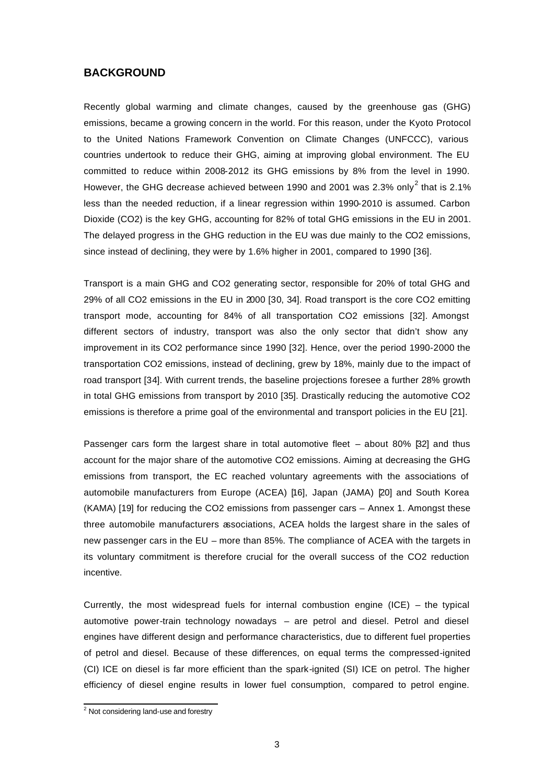# **BACKGROUND**

Recently global warming and climate changes, caused by the greenhouse gas (GHG) emissions, became a growing concern in the world. For this reason, under the Kyoto Protocol to the United Nations Framework Convention on Climate Changes (UNFCCC), various countries undertook to reduce their GHG, aiming at improving global environment. The EU committed to reduce within 2008-2012 its GHG emissions by 8% from the level in 1990. However, the GHG decrease achieved between 1990 and 2001 was 2.3% only<sup>2</sup> that is 2.1% less than the needed reduction, if a linear regression within 1990-2010 is assumed. Carbon Dioxide (CO2) is the key GHG, accounting for 82% of total GHG emissions in the EU in 2001. The delayed progress in the GHG reduction in the EU was due mainly to the CO2 emissions, since instead of declining, they were by 1.6% higher in 2001, compared to 1990 [36].

Transport is a main GHG and CO2 generating sector, responsible for 20% of total GHG and 29% of all CO2 emissions in the EU in 2000 [30, 34]. Road transport is the core CO2 emitting transport mode, accounting for 84% of all transportation CO2 emissions [32]. Amongst different sectors of industry, transport was also the only sector that didn't show any improvement in its CO2 performance since 1990 [32]. Hence, over the period 1990-2000 the transportation CO2 emissions, instead of declining, grew by 18%, mainly due to the impact of road transport [34]. With current trends, the baseline projections foresee a further 28% growth in total GHG emissions from transport by 2010 [35]. Drastically reducing the automotive CO2 emissions is therefore a prime goal of the environmental and transport policies in the EU [21].

Passenger cars form the largest share in total automotive fleet – about 80% [32] and thus account for the major share of the automotive CO2 emissions. Aiming at decreasing the GHG emissions from transport, the EC reached voluntary agreements with the associations of automobile manufacturers from Europe (ACEA) [16], Japan (JAMA) [20] and South Korea (KAMA) [19] for reducing the CO2 emissions from passenger cars – Annex 1. Amongst these three automobile manufacturers associations, ACEA holds the largest share in the sales of new passenger cars in the EU – more than 85%. The compliance of ACEA with the targets in its voluntary commitment is therefore crucial for the overall success of the CO2 reduction incentive.

Currently, the most widespread fuels for internal combustion engine  $(ICE)$  – the typical automotive power-train technology nowadays – are petrol and diesel. Petrol and diesel engines have different design and performance characteristics, due to different fuel properties of petrol and diesel. Because of these differences, on equal terms the compressed-ignited (CI) ICE on diesel is far more efficient than the spark-ignited (SI) ICE on petrol. The higher efficiency of diesel engine results in lower fuel consumption, compared to petrol engine.

<sup>&</sup>lt;sup>2</sup> Not considering land-use and forestry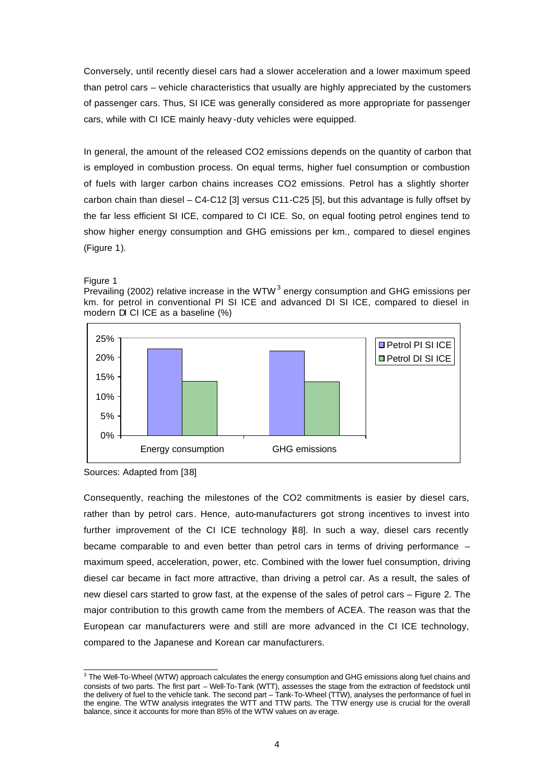Conversely, until recently diesel cars had a slower acceleration and a lower maximum speed than petrol cars – vehicle characteristics that usually are highly appreciated by the customers of passenger cars. Thus, SI ICE was generally considered as more appropriate for passenger cars, while with CI ICE mainly heavy -duty vehicles were equipped.

In general, the amount of the released CO2 emissions depends on the quantity of carbon that is employed in combustion process. On equal terms, higher fuel consumption or combustion of fuels with larger carbon chains increases CO2 emissions. Petrol has a slightly shorter carbon chain than diesel – C4-C12 [3] versus C11-C25 [5], but this advantage is fully offset by the far less efficient SI ICE, compared to CI ICE. So, on equal footing petrol engines tend to show higher energy consumption and GHG emissions per km., compared to diesel engines (Figure 1).

Figure 1

Prevailing (2002) relative increase in the WTW<sup>3</sup> energy consumption and GHG emissions per km. for petrol in conventional PI SI ICE and advanced DI SI ICE, compared to diesel in modern DI CI ICE as a baseline (%)



Sources: Adapted from [38]

Consequently, reaching the milestones of the CO2 commitments is easier by diesel cars, rather than by petrol cars. Hence, auto-manufacturers got strong incentives to invest into further improvement of the CI ICE technology [48]. In such a way, diesel cars recently became comparable to and even better than petrol cars in terms of driving performance – maximum speed, acceleration, power, etc. Combined with the lower fuel consumption, driving diesel car became in fact more attractive, than driving a petrol car. As a result, the sales of new diesel cars started to grow fast, at the expense of the sales of petrol cars – Figure 2. The major contribution to this growth came from the members of ACEA. The reason was that the European car manufacturers were and still are more advanced in the CI ICE technology, compared to the Japanese and Korean car manufacturers.

 3 The Well-To-Wheel (WTW) approach calculates the energy consumption and GHG emissions along fuel chains and consists of two parts. The first part – Well-To-Tank (WTT), assesses the stage from the extraction of feedstock until the delivery of fuel to the vehicle tank. The second part – Tank-To-Wheel (TTW), analyses the performance of fuel in the engine. The WTW analysis integrates the WTT and TTW parts. The TTW energy use is crucial for the overall balance, since it accounts for more than 85% of the WTW values on av erage.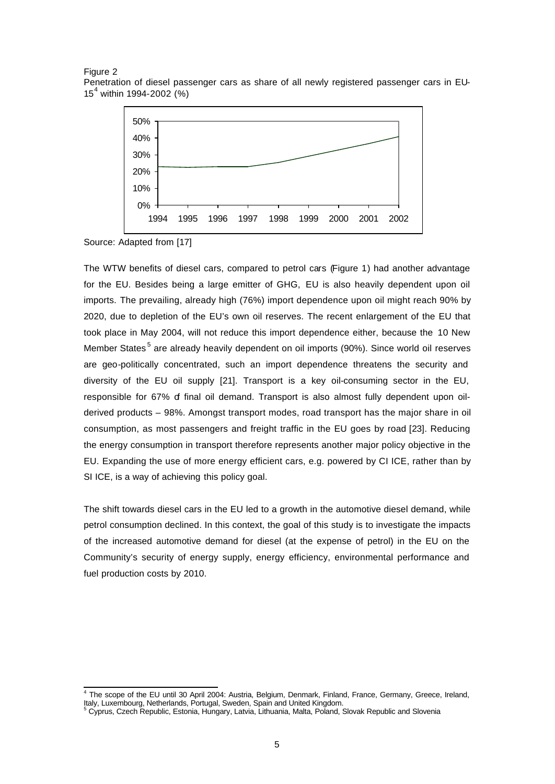Figure 2 Penetration of diesel passenger cars as share of all newly registered passenger cars in EU-15<sup>4</sup> within 1994-2002 (%)



Source: Adapted from [17]

The WTW benefits of diesel cars, compared to petrol cars (Figure 1) had another advantage for the EU. Besides being a large emitter of GHG, EU is also heavily dependent upon oil imports. The prevailing, already high (76%) import dependence upon oil might reach 90% by 2020, due to depletion of the EU's own oil reserves. The recent enlargement of the EU that took place in May 2004, will not reduce this import dependence either, because the 10 New Member States<sup>5</sup> are already heavily dependent on oil imports (90%). Since world oil reserves are geo-politically concentrated, such an import dependence threatens the security and diversity of the EU oil supply [21]. Transport is a key oil-consuming sector in the EU, responsible for 67% of final oil demand. Transport is also almost fully dependent upon oilderived products – 98%. Amongst transport modes, road transport has the major share in oil consumption, as most passengers and freight traffic in the EU goes by road [23]. Reducing the energy consumption in transport therefore represents another major policy objective in the EU. Expanding the use of more energy efficient cars, e.g. powered by CI ICE, rather than by SI ICE, is a way of achieving this policy goal.

The shift towards diesel cars in the EU led to a growth in the automotive diesel demand, while petrol consumption declined. In this context, the goal of this study is to investigate the impacts of the increased automotive demand for diesel (at the expense of petrol) in the EU on the Community's security of energy supply, energy efficiency, environmental performance and fuel production costs by 2010.

 4 The scope of the EU until 30 April 2004: Austria, Belgium, Denmark, Finland, France, Germany, Greece, Ireland, Italy, Luxembourg, Netherlands, Portugal, Sweden, Spain and United Kingdom.<br><sup>5</sup> Cyprus, Czech Republic, Estonia, Hungary, Latvia, Lithuania, Malta, Poland, Slovak Republic and Slovenia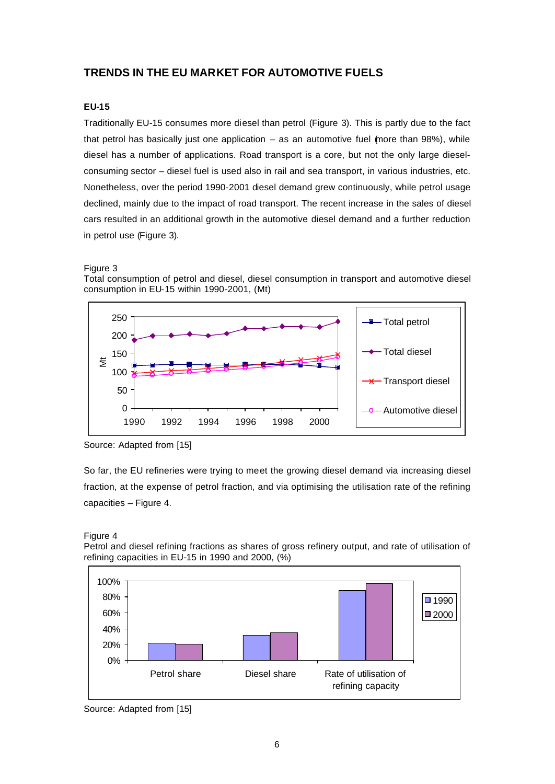# **TRENDS IN THE EU MARKET FOR AUTOMOTIVE FUELS**

### **EU-15**

Traditionally EU-15 consumes more diesel than petrol (Figure 3). This is partly due to the fact that petrol has basically just one application  $-$  as an automotive fuel (more than 98%), while diesel has a number of applications. Road transport is a core, but not the only large dieselconsuming sector – diesel fuel is used also in rail and sea transport, in various industries, etc. Nonetheless, over the period 1990-2001 diesel demand grew continuously, while petrol usage declined, mainly due to the impact of road transport. The recent increase in the sales of diesel cars resulted in an additional growth in the automotive diesel demand and a further reduction in petrol use (Figure 3).



Total consumption of petrol and diesel, diesel consumption in transport and automotive diesel consumption in EU-15 within 1990-2001, (Mt)



Source: Adapted from [15]

So far, the EU refineries were trying to meet the growing diesel demand via increasing diesel fraction, at the expense of petrol fraction, and via optimising the utilisation rate of the refining capacities – Figure 4.

Petrol and diesel refining fractions as shares of gross refinery output, and rate of utilisation of refining capacities in EU-15 in 1990 and 2000, (%)



Source: Adapted from [15]

Figure 4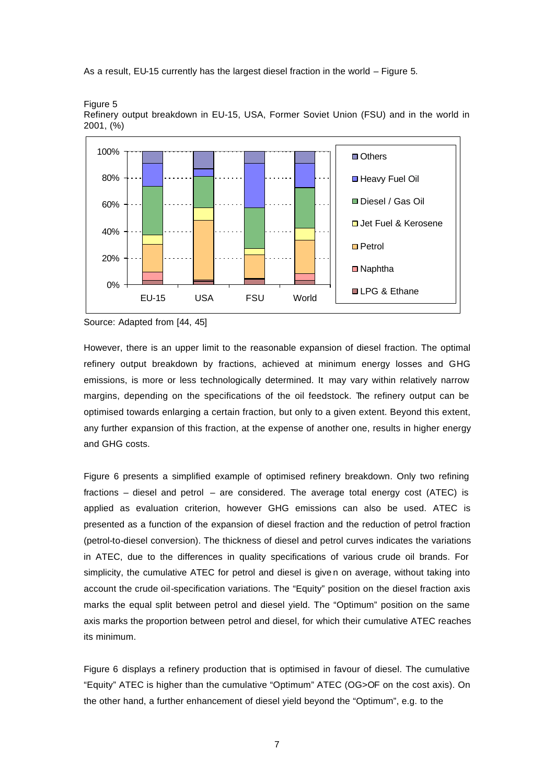As a result, EU-15 currently has the largest diesel fraction in the world – Figure 5.



Figure 5 Refinery output breakdown in EU-15, USA, Former Soviet Union (FSU) and in the world in 2001, (%)

Source: Adapted from [44, 45]

However, there is an upper limit to the reasonable expansion of diesel fraction. The optimal refinery output breakdown by fractions, achieved at minimum energy losses and GHG emissions, is more or less technologically determined. It may vary within relatively narrow margins, depending on the specifications of the oil feedstock. The refinery output can be optimised towards enlarging a certain fraction, but only to a given extent. Beyond this extent, any further expansion of this fraction, at the expense of another one, results in higher energy and GHG costs.

Figure 6 presents a simplified example of optimised refinery breakdown. Only two refining fractions – diesel and petrol – are considered. The average total energy cost (ATEC) is applied as evaluation criterion, however GHG emissions can also be used. ATEC is presented as a function of the expansion of diesel fraction and the reduction of petrol fraction (petrol-to-diesel conversion). The thickness of diesel and petrol curves indicates the variations in ATEC, due to the differences in quality specifications of various crude oil brands. For simplicity, the cumulative ATEC for petrol and diesel is give n on average, without taking into account the crude oil-specification variations. The "Equity" position on the diesel fraction axis marks the equal split between petrol and diesel yield. The "Optimum" position on the same axis marks the proportion between petrol and diesel, for which their cumulative ATEC reaches its minimum.

Figure 6 displays a refinery production that is optimised in favour of diesel. The cumulative "Equity" ATEC is higher than the cumulative "Optimum" ATEC (OG>OF on the cost axis). On the other hand, a further enhancement of diesel yield beyond the "Optimum", e.g. to the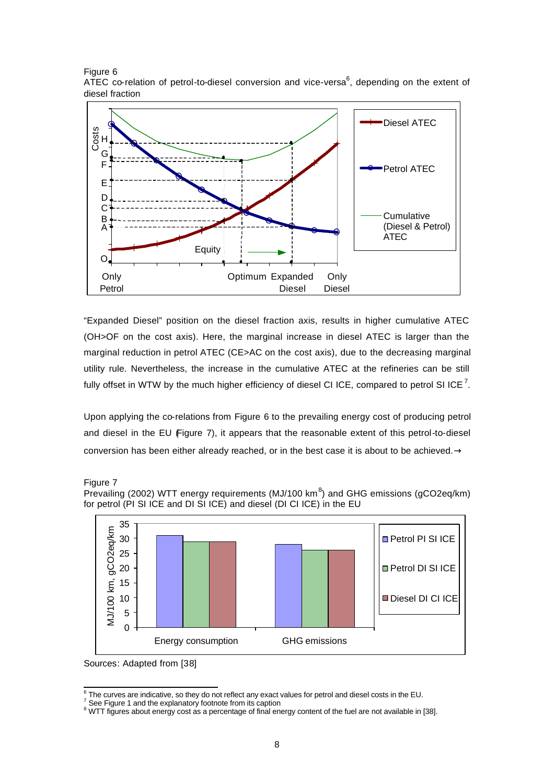Figure 6 ATEC co-relation of petrol-to-diesel conversion and vice-versa $^6$ , depending on the extent of diesel fraction



"Expanded Diesel" position on the diesel fraction axis, results in higher cumulative ATEC (OH>OF on the cost axis). Here, the marginal increase in diesel ATEC is larger than the marginal reduction in petrol ATEC (CE>AC on the cost axis), due to the decreasing marginal utility rule. Nevertheless, the increase in the cumulative ATEC at the refineries can be still fully offset in WTW by the much higher efficiency of diesel CI ICE, compared to petrol SI ICE  $^7$ .

Upon applying the co-relations from Figure 6 to the prevailing energy cost of producing petrol and diesel in the EU  $\bigoplus$  Figure 7), it appears that the reasonable extent of this petrol-to-diesel conversion has been either already reached, or in the best case it is about to be achieved.**®**







Sources: Adapted from [38]

 6 The curves are indicative, so they do not reflect any exact values for petrol and diesel costs in the EU.

 $7$  See Figure 1 and the explanatory footnote from its caption

 $8$  WTT figures about energy cost as a percentage of final energy content of the fuel are not available in [38].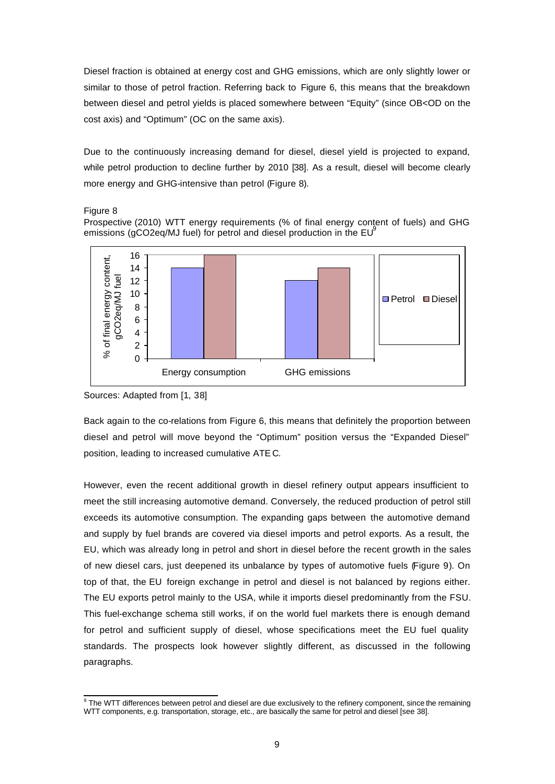Diesel fraction is obtained at energy cost and GHG emissions, which are only slightly lower or similar to those of petrol fraction. Referring back to Figure 6, this means that the breakdown between diesel and petrol yields is placed somewhere between "Equity" (since OB<OD on the cost axis) and "Optimum" (OC on the same axis).

Due to the continuously increasing demand for diesel, diesel yield is projected to expand, while petrol production to decline further by 2010 [38]. As a result, diesel will become clearly more energy and GHG-intensive than petrol (Figure 8).

Figure 8

Prospective (2010) WTT energy requirements (% of final energy content of fuels) and GHG emissions ( $qCO2eq/MJ$  fuel) for petrol and diesel production in the  $EU^9$ 



Sources: Adapted from [1, 38]

Back again to the co-relations from Figure 6, this means that definitely the proportion between diesel and petrol will move beyond the "Optimum" position versus the "Expanded Diesel" position, leading to increased cumulative ATE C.

However, even the recent additional growth in diesel refinery output appears insufficient to meet the still increasing automotive demand. Conversely, the reduced production of petrol still exceeds its automotive consumption. The expanding gaps between the automotive demand and supply by fuel brands are covered via diesel imports and petrol exports. As a result, the EU, which was already long in petrol and short in diesel before the recent growth in the sales of new diesel cars, just deepened its unbalance by types of automotive fuels (Figure 9). On top of that, the EU foreign exchange in petrol and diesel is not balanced by regions either. The EU exports petrol mainly to the USA, while it imports diesel predominantly from the FSU. This fuel-exchange schema still works, if on the world fuel markets there is enough demand for petrol and sufficient supply of diesel, whose specifications meet the EU fuel quality standards. The prospects look however slightly different, as discussed in the following paragraphs.

 9 The WTT differences between petrol and diesel are due exclusively to the refinery component, since the remaining WTT components, e.g. transportation, storage, etc., are basically the same for petrol and diesel [see 38].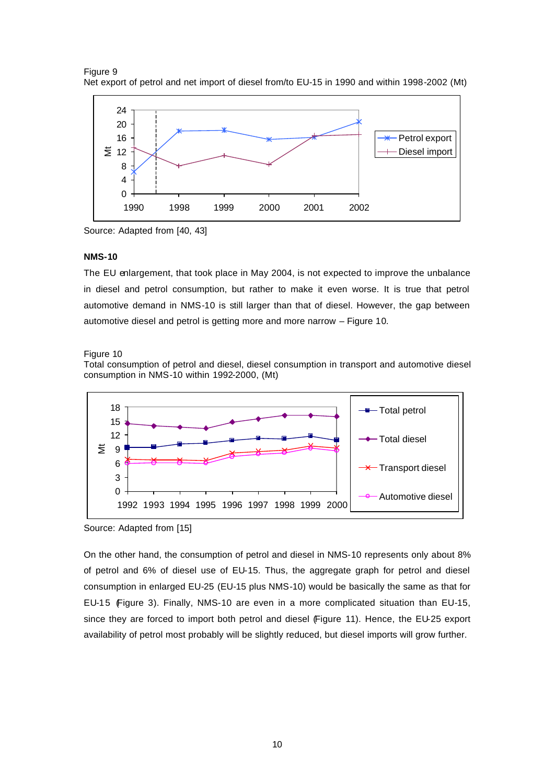



Source: Adapted from [40, 43]

#### **NMS-10**

The EU enlargement, that took place in May 2004, is not expected to improve the unbalance in diesel and petrol consumption, but rather to make it even worse. It is true that petrol automotive demand in NMS-10 is still larger than that of diesel. However, the gap between automotive diesel and petrol is getting more and more narrow – Figure 10.

#### Figure 10

Total consumption of petrol and diesel, diesel consumption in transport and automotive diesel consumption in NMS-10 within 1992-2000, (Mt)



Source: Adapted from [15]

On the other hand, the consumption of petrol and diesel in NMS-10 represents only about 8% of petrol and 6% of diesel use of EU-15. Thus, the aggregate graph for petrol and diesel consumption in enlarged EU-25 (EU-15 plus NMS-10) would be basically the same as that for EU-15 (Figure 3). Finally, NMS-10 are even in a more complicated situation than EU-15, since they are forced to import both petrol and diesel (Figure 11). Hence, the EU-25 export availability of petrol most probably will be slightly reduced, but diesel imports will grow further.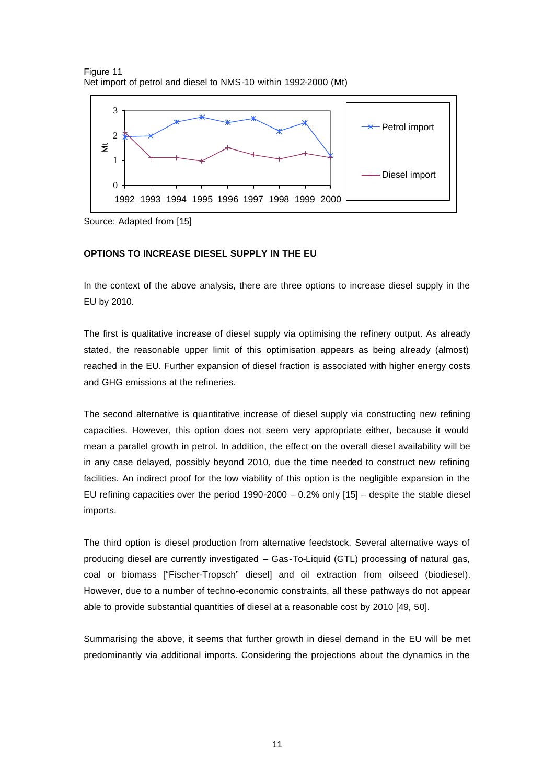



Source: Adapted from [15]

#### **OPTIONS TO INCREASE DIESEL SUPPLY IN THE EU**

In the context of the above analysis, there are three options to increase diesel supply in the EU by 2010.

The first is qualitative increase of diesel supply via optimising the refinery output. As already stated, the reasonable upper limit of this optimisation appears as being already (almost) reached in the EU. Further expansion of diesel fraction is associated with higher energy costs and GHG emissions at the refineries.

The second alternative is quantitative increase of diesel supply via constructing new refining capacities. However, this option does not seem very appropriate either, because it would mean a parallel growth in petrol. In addition, the effect on the overall diesel availability will be in any case delayed, possibly beyond 2010, due the time needed to construct new refining facilities. An indirect proof for the low viability of this option is the negligible expansion in the EU refining capacities over the period  $1990-2000 - 0.2%$  only  $[15]$  – despite the stable diesel imports.

The third option is diesel production from alternative feedstock. Several alternative ways of producing diesel are currently investigated – Gas-To-Liquid (GTL) processing of natural gas, coal or biomass ["Fischer-Tropsch" diesel] and oil extraction from oilseed (biodiesel). However, due to a number of techno-economic constraints, all these pathways do not appear able to provide substantial quantities of diesel at a reasonable cost by 2010 [49, 50].

Summarising the above, it seems that further growth in diesel demand in the EU will be met predominantly via additional imports. Considering the projections about the dynamics in the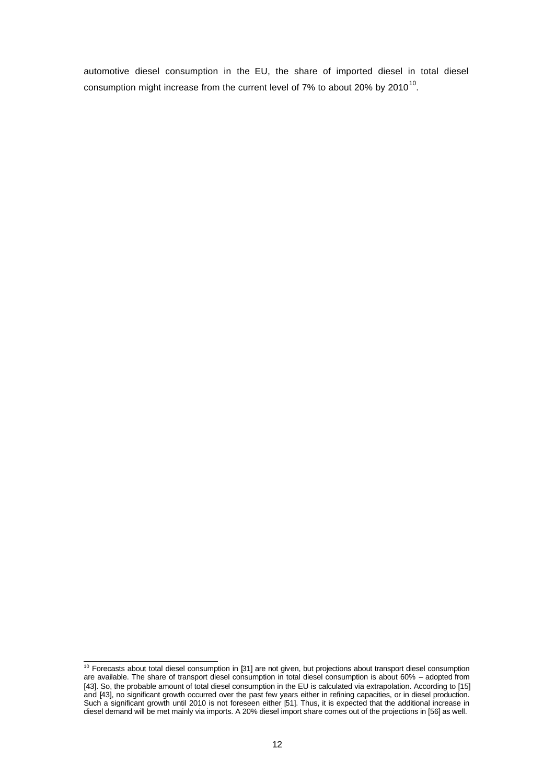automotive diesel consumption in the EU, the share of imported diesel in total diesel consumption might increase from the current level of 7% to about 20% by 2010<sup>10</sup>.

 $10$  Forecasts about total diesel consumption in [31] are not given, but projections about transport diesel consumption are available. The share of transport diesel consumption in total diesel consumption is about 60% – adopted from [43]. So, the probable amount of total diesel consumption in the EU is calculated via extrapolation. According to [15] and [43], no significant growth occurred over the past few years either in refining capacities, or in diesel production. Such a significant growth until 2010 is not foreseen either [51]. Thus, it is expected that the additional increase in diesel demand will be met mainly via imports. A 20% diesel import share comes out of the projections in [56] as well.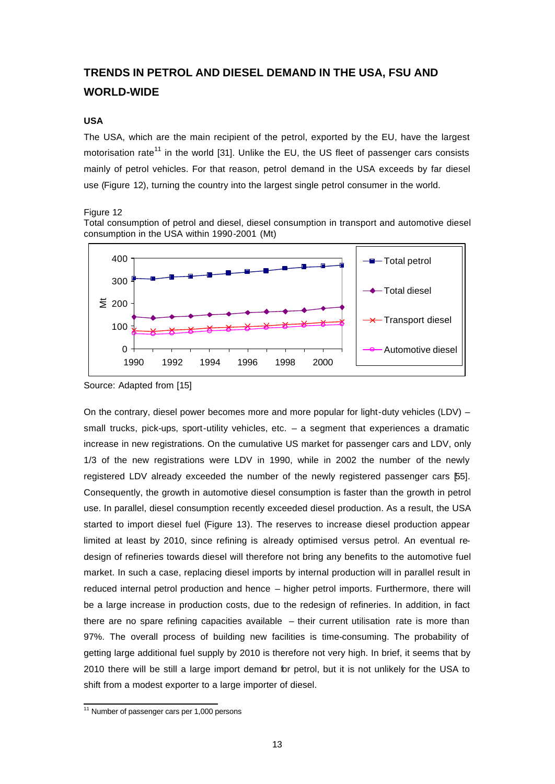# **TRENDS IN PETROL AND DIESEL DEMAND IN THE USA, FSU AND WORLD-WIDE**

### **USA**

The USA, which are the main recipient of the petrol, exported by the EU, have the largest motorisation rate<sup>11</sup> in the world [31]. Unlike the EU, the US fleet of passenger cars consists mainly of petrol vehicles. For that reason, petrol demand in the USA exceeds by far diesel use (Figure 12), turning the country into the largest single petrol consumer in the world.

Figure 12





Source: Adapted from [15]

On the contrary, diesel power becomes more and more popular for light-duty vehicles (LDV) – small trucks, pick-ups, sport-utility vehicles, etc. - a segment that experiences a dramatic increase in new registrations. On the cumulative US market for passenger cars and LDV, only 1/3 of the new registrations were LDV in 1990, while in 2002 the number of the newly registered LDV already exceeded the number of the newly registered passenger cars [55]. Consequently, the growth in automotive diesel consumption is faster than the growth in petrol use. In parallel, diesel consumption recently exceeded diesel production. As a result, the USA started to import diesel fuel (Figure 13). The reserves to increase diesel production appear limited at least by 2010, since refining is already optimised versus petrol. An eventual redesign of refineries towards diesel will therefore not bring any benefits to the automotive fuel market. In such a case, replacing diesel imports by internal production will in parallel result in reduced internal petrol production and hence – higher petrol imports. Furthermore, there will be a large increase in production costs, due to the redesign of refineries. In addition, in fact there are no spare refining capacities available – their current utilisation rate is more than 97%. The overall process of building new facilities is time-consuming. The probability of getting large additional fuel supply by 2010 is therefore not very high. In brief, it seems that by 2010 there will be still a large import demand for petrol, but it is not unlikely for the USA to shift from a modest exporter to a large importer of diesel.

 <sup>11</sup> Number of passenger cars per 1,000 persons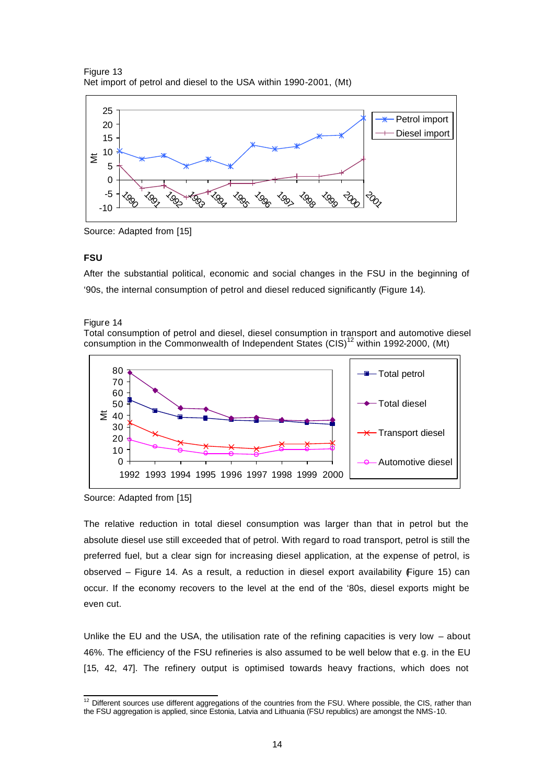Figure 13 Net import of petrol and diesel to the USA within 1990-2001, (Mt)



Source: Adapted from [15]

#### **FSU**

After the substantial political, economic and social changes in the FSU in the beginning of '90s, the internal consumption of petrol and diesel reduced significantly (Figure 14).

#### Figure 14

Total consumption of petrol and diesel, diesel consumption in transport and automotive diesel consumption in the Commonwealth of Independent States  $(CIS)^{12}$  within 1992-2000, (Mt)



Source: Adapted from [15]

The relative reduction in total diesel consumption was larger than that in petrol but the absolute diesel use still exceeded that of petrol. With regard to road transport, petrol is still the preferred fuel, but a clear sign for increasing diesel application, at the expense of petrol, is observed – Figure 14. As a result, a reduction in diesel export availability (Figure 15) can occur. If the economy recovers to the level at the end of the '80s, diesel exports might be even cut.

Unlike the EU and the USA, the utilisation rate of the refining capacities is very low – about 46%. The efficiency of the FSU refineries is also assumed to be well below that e.g. in the EU [15, 42, 47]. The refinery output is optimised towards heavy fractions, which does not

  $12$  Different sources use different aggregations of the countries from the FSU. Where possible, the CIS, rather than the FSU aggregation is applied, since Estonia, Latvia and Lithuania (FSU republics) are amongst the NMS-10.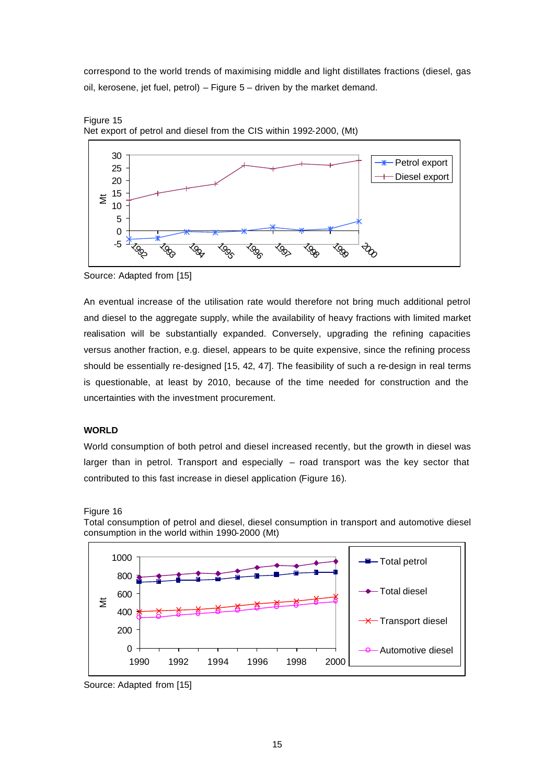correspond to the world trends of maximising middle and light distillates fractions (diesel, gas oil, kerosene, jet fuel, petrol) – Figure 5 – driven by the market demand.





Source: Adapted from [15]

An eventual increase of the utilisation rate would therefore not bring much additional petrol and diesel to the aggregate supply, while the availability of heavy fractions with limited market realisation will be substantially expanded. Conversely, upgrading the refining capacities versus another fraction, e.g. diesel, appears to be quite expensive, since the refining process should be essentially re-designed [15, 42, 47]. The feasibility of such a re-design in real terms is questionable, at least by 2010, because of the time needed for construction and the uncertainties with the investment procurement.

## **WORLD**

World consumption of both petrol and diesel increased recently, but the growth in diesel was larger than in petrol. Transport and especially – road transport was the key sector that contributed to this fast increase in diesel application (Figure 16).





Total consumption of petrol and diesel, diesel consumption in transport and automotive diesel consumption in the world within 1990-2000 (Mt)

Source: Adapted from [15]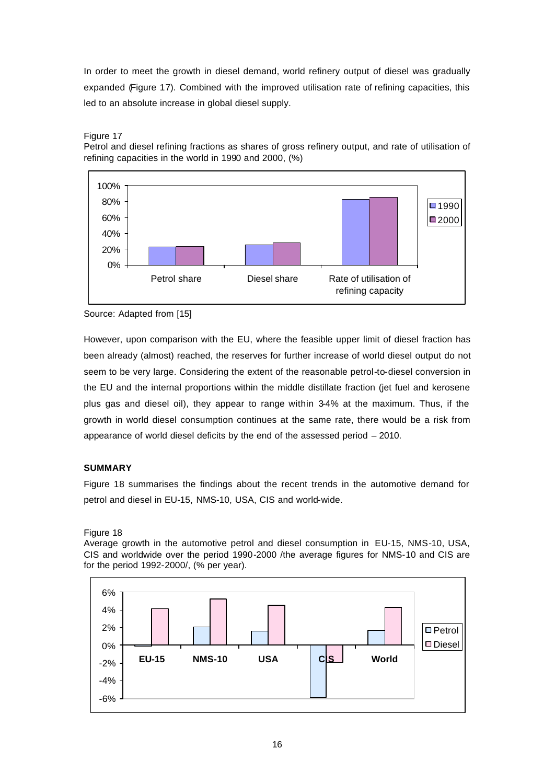In order to meet the growth in diesel demand, world refinery output of diesel was gradually expanded (Figure 17). Combined with the improved utilisation rate of refining capacities, this led to an absolute increase in global diesel supply.



Petrol and diesel refining fractions as shares of gross refinery output, and rate of utilisation of refining capacities in the world in 1990 and 2000, (%)



Source: Adapted from [15]

However, upon comparison with the EU, where the feasible upper limit of diesel fraction has been already (almost) reached, the reserves for further increase of world diesel output do not seem to be very large. Considering the extent of the reasonable petrol-to-diesel conversion in the EU and the internal proportions within the middle distillate fraction (jet fuel and kerosene plus gas and diesel oil), they appear to range within 3-4% at the maximum. Thus, if the growth in world diesel consumption continues at the same rate, there would be a risk from appearance of world diesel deficits by the end of the assessed period – 2010.

## **SUMMARY**

Figure 18 summarises the findings about the recent trends in the automotive demand for petrol and diesel in EU-15, NMS-10, USA, CIS and world-wide.

Figure 18

Average growth in the automotive petrol and diesel consumption in EU-15, NMS-10, USA, CIS and worldwide over the period 1990-2000 /the average figures for NMS-10 and CIS are for the period 1992-2000/, (% per year).

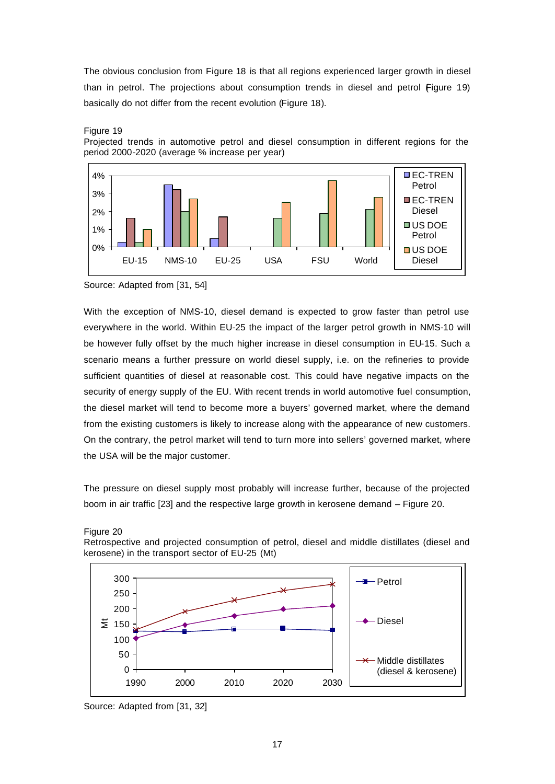The obvious conclusion from Figure 18 is that all regions experienced larger growth in diesel than in petrol. The projections about consumption trends in diesel and petrol Figure 19) basically do not differ from the recent evolution (Figure 18).



#### Figure 19

Projected trends in automotive petrol and diesel consumption in different regions for the period 2000-2020 (average % increase per year)

Source: Adapted from [31, 54]

With the exception of NMS-10, diesel demand is expected to grow faster than petrol use everywhere in the world. Within EU-25 the impact of the larger petrol growth in NMS-10 will be however fully offset by the much higher increase in diesel consumption in EU-15. Such a scenario means a further pressure on world diesel supply, i.e. on the refineries to provide sufficient quantities of diesel at reasonable cost. This could have negative impacts on the security of energy supply of the EU. With recent trends in world automotive fuel consumption, the diesel market will tend to become more a buyers' governed market, where the demand from the existing customers is likely to increase along with the appearance of new customers. On the contrary, the petrol market will tend to turn more into sellers' governed market, where the USA will be the major customer.

The pressure on diesel supply most probably will increase further, because of the projected boom in air traffic [23] and the respective large growth in kerosene demand – Figure 20.







Source: Adapted from [31, 32]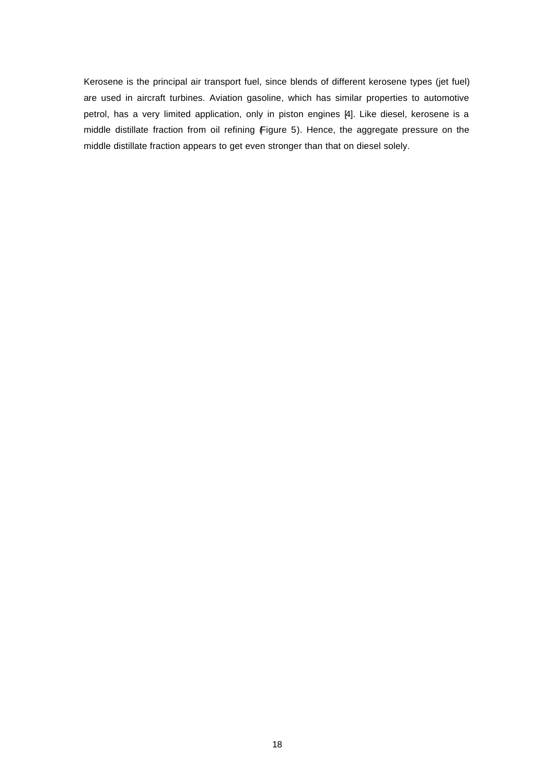Kerosene is the principal air transport fuel, since blends of different kerosene types (jet fuel) are used in aircraft turbines. Aviation gasoline, which has similar properties to automotive petrol, has a very limited application, only in piston engines [4]. Like diesel, kerosene is a middle distillate fraction from oil refining (Figure 5). Hence, the aggregate pressure on the middle distillate fraction appears to get even stronger than that on diesel solely.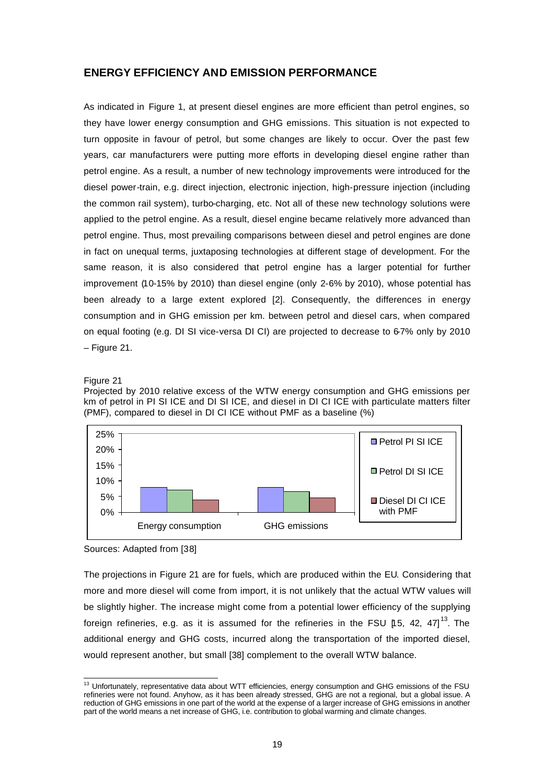# **ENERGY EFFICIENCY AND EMISSION PERFORMANCE**

As indicated in Figure 1, at present diesel engines are more efficient than petrol engines, so they have lower energy consumption and GHG emissions. This situation is not expected to turn opposite in favour of petrol, but some changes are likely to occur. Over the past few years, car manufacturers were putting more efforts in developing diesel engine rather than petrol engine. As a result, a number of new technology improvements were introduced for the diesel power-train, e.g. direct injection, electronic injection, high-pressure injection (including the common rail system), turbo-charging, etc. Not all of these new technology solutions were applied to the petrol engine. As a result, diesel engine became relatively more advanced than petrol engine. Thus, most prevailing comparisons between diesel and petrol engines are done in fact on unequal terms, juxtaposing technologies at different stage of development. For the same reason, it is also considered that petrol engine has a larger potential for further improvement (10-15% by 2010) than diesel engine (only 2-6% by 2010), whose potential has been already to a large extent explored [2]. Consequently, the differences in energy consumption and in GHG emission per km. between petrol and diesel cars, when compared on equal footing (e.g. DI SI vice-versa DI CI) are projected to decrease to 6-7% only by 2010 – Figure 21.

#### Figure 21

Projected by 2010 relative excess of the WTW energy consumption and GHG emissions per km of petrol in PI SI ICE and DI SI ICE, and diesel in DI CI ICE with particulate matters filter (PMF), compared to diesel in DI CI ICE without PMF as a baseline (%)



Sources: Adapted from [38]

The projections in Figure 21 are for fuels, which are produced within the EU. Considering that more and more diesel will come from import, it is not unlikely that the actual WTW values will be slightly higher. The increase might come from a potential lower efficiency of the supplying foreign refineries, e.g. as it is assumed for the refineries in the FSU [15, 42, 47]<sup>13</sup>. The additional energy and GHG costs, incurred along the transportation of the imported diesel, would represent another, but small [38] complement to the overall WTW balance.

 <sup>13</sup> Unfortunately, representative data about WTT efficiencies, energy consumption and GHG emissions of the FSU refineries were not found. Anyhow, as it has been already stressed, GHG are not a regional, but a global issue. A reduction of GHG emissions in one part of the world at the expense of a larger increase of GHG emissions in another part of the world means a net increase of GHG, i.e. contribution to global warming and climate changes.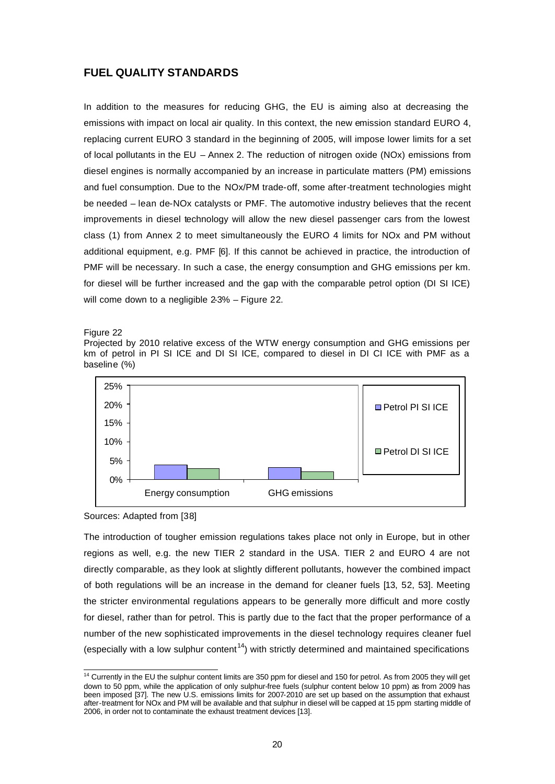# **FUEL QUALITY STANDARDS**

In addition to the measures for reducing GHG, the EU is aiming also at decreasing the emissions with impact on local air quality. In this context, the new emission standard EURO 4, replacing current EURO 3 standard in the beginning of 2005, will impose lower limits for a set of local pollutants in the EU – Annex 2. The reduction of nitrogen oxide (NOx) emissions from diesel engines is normally accompanied by an increase in particulate matters (PM) emissions and fuel consumption. Due to the NOx/PM trade-off, some after-treatment technologies might be needed – lean de-NOx catalysts or PMF. The automotive industry believes that the recent improvements in diesel technology will allow the new diesel passenger cars from the lowest class (1) from Annex 2 to meet simultaneously the EURO 4 limits for NOx and PM without additional equipment, e.g. PMF [6]. If this cannot be achieved in practice, the introduction of PMF will be necessary. In such a case, the energy consumption and GHG emissions per km. for diesel will be further increased and the gap with the comparable petrol option (DI SI ICE) will come down to a negligible 2-3% – Figure 22.

#### Figure 22

Projected by 2010 relative excess of the WTW energy consumption and GHG emissions per km of petrol in PI SI ICE and DI SI ICE, compared to diesel in DI CI ICE with PMF as a baseline (%)





The introduction of tougher emission regulations takes place not only in Europe, but in other regions as well, e.g. the new TIER 2 standard in the USA. TIER 2 and EURO 4 are not directly comparable, as they look at slightly different pollutants, however the combined impact of both regulations will be an increase in the demand for cleaner fuels [13, 52, 53]. Meeting the stricter environmental regulations appears to be generally more difficult and more costly for diesel, rather than for petrol. This is partly due to the fact that the proper performance of a number of the new sophisticated improvements in the diesel technology requires cleaner fuel (especially with a low sulphur content<sup>14</sup>) with strictly determined and maintained specifications

  $14$  Currently in the EU the sulphur content limits are 350 ppm for diesel and 150 for petrol. As from 2005 they will get down to 50 ppm, while the application of only sulphur-free fuels (sulphur content below 10 ppm) as from 2009 has been imposed [37]. The new U.S. emissions limits for 2007-2010 are set up based on the assumption that exhaust after-treatment for NOx and PM will be available and that sulphur in diesel will be capped at 15 ppm starting middle of 2006, in order not to contaminate the exhaust treatment devices [13].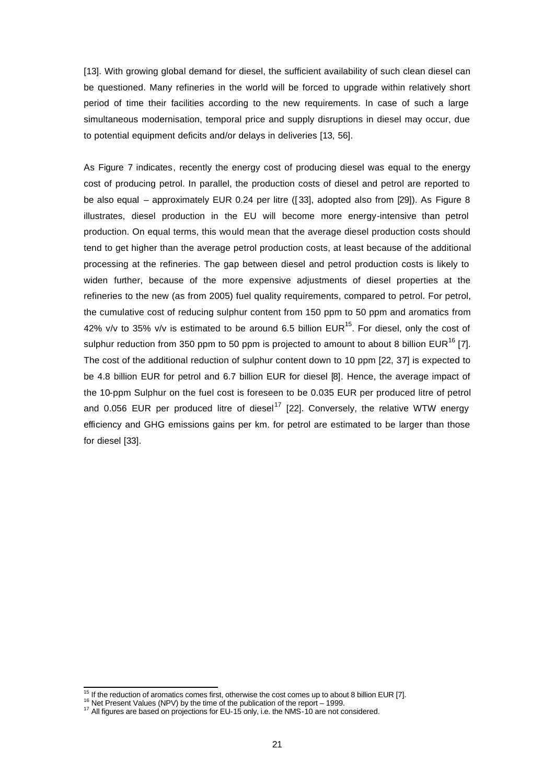[13]. With growing global demand for diesel, the sufficient availability of such clean diesel can be questioned. Many refineries in the world will be forced to upgrade within relatively short period of time their facilities according to the new requirements. In case of such a large simultaneous modernisation, temporal price and supply disruptions in diesel may occur, due to potential equipment deficits and/or delays in deliveries [13, 56].

As Figure 7 indicates, recently the energy cost of producing diesel was equal to the energy cost of producing petrol. In parallel, the production costs of diesel and petrol are reported to be also equal – approximately EUR 0.24 per litre ([ 33], adopted also from [29]). As Figure 8 illustrates, diesel production in the EU will become more energy-intensive than petrol production. On equal terms, this would mean that the average diesel production costs should tend to get higher than the average petrol production costs, at least because of the additional processing at the refineries. The gap between diesel and petrol production costs is likely to widen further, because of the more expensive adjustments of diesel properties at the refineries to the new (as from 2005) fuel quality requirements, compared to petrol. For petrol, the cumulative cost of reducing sulphur content from 150 ppm to 50 ppm and aromatics from 42% v/v to 35% v/v is estimated to be around 6.5 billion  $EUR^{15}$ . For diesel, only the cost of sulphur reduction from 350 ppm to 50 ppm is projected to amount to about 8 billion EUR<sup>16</sup> [7]. The cost of the additional reduction of sulphur content down to 10 ppm [22, 37] is expected to be 4.8 billion EUR for petrol and 6.7 billion EUR for diesel [8]. Hence, the average impact of the 10-ppm Sulphur on the fuel cost is foreseen to be 0.035 EUR per produced litre of petrol and 0.056 EUR per produced litre of diesel<sup>17</sup> [22]. Conversely, the relative WTW energy efficiency and GHG emissions gains per km. for petrol are estimated to be larger than those for diesel [33].

 $15$  If the reduction of aromatics comes first, otherwise the cost comes up to about 8 billion EUR [7].

<sup>&</sup>lt;sup>16</sup> Net Present Values (NPV) by the time of the publication of the report – 1999.

<sup>&</sup>lt;sup>17</sup> All figures are based on projections for EU-15 only, i.e. the NMS-10 are not considered.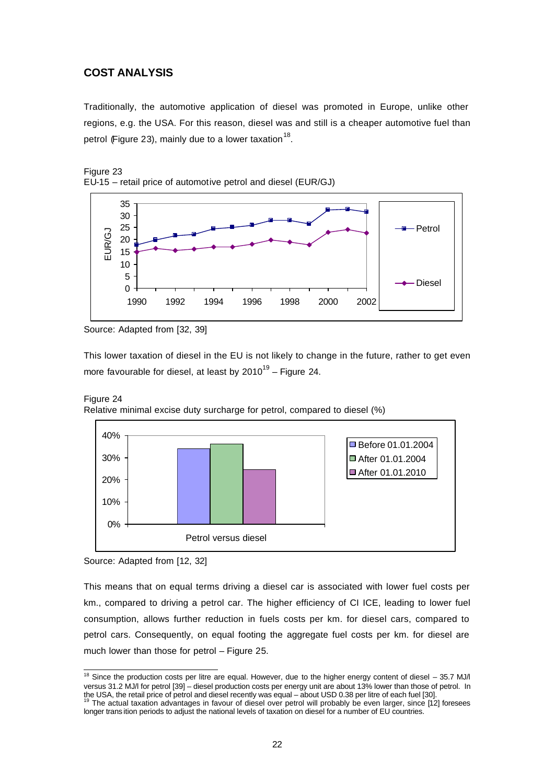# **COST ANALYSIS**

Traditionally, the automotive application of diesel was promoted in Europe, unlike other regions, e.g. the USA. For this reason, diesel was and still is a cheaper automotive fuel than petrol (Figure 23), mainly due to a lower taxation  $^{18}$ .





This lower taxation of diesel in the EU is not likely to change in the future, rather to get even more favourable for diesel, at least by 2010<sup>19</sup> – Figure 24.





Source: Adapted from [12, 32]

This means that on equal terms driving a diesel car is associated with lower fuel costs per km., compared to driving a petrol car. The higher efficiency of CI ICE, leading to lower fuel consumption, allows further reduction in fuels costs per km. for diesel cars, compared to petrol cars. Consequently, on equal footing the aggregate fuel costs per km. for diesel are much lower than those for petrol – Figure 25.

Source: Adapted from [32, 39]

 <sup>18</sup> Since the production costs per litre are equal. However, due to the higher energy content of diesel  $-$  35.7 MJ/l versus 31.2 MJ/l for petrol [39] – diesel production costs per energy unit are about 13% lower than those of petrol. In

the USA, the retail price of petrol and diesel recently was equal – about USD 0.38 per litre of each fuel [30].<br><sup>19</sup> The actual taxation advantages in favour of diesel over petrol will probably be even larger, since [12] f longer trans ition periods to adjust the national levels of taxation on diesel for a number of EU countries.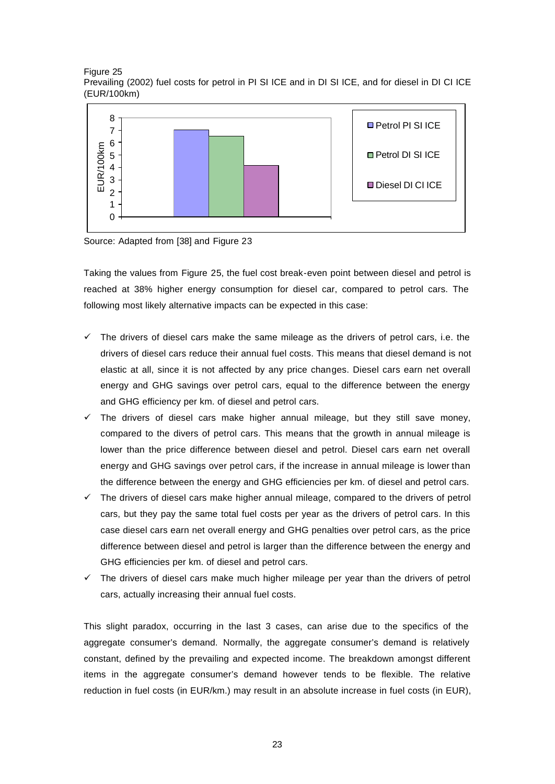Figure 25 Prevailing (2002) fuel costs for petrol in PI SI ICE and in DI SI ICE, and for diesel in DI CI ICE (EUR/100km)



Source: Adapted from [38] and Figure 23

Taking the values from Figure 25, the fuel cost break-even point between diesel and petrol is reached at 38% higher energy consumption for diesel car, compared to petrol cars. The following most likely alternative impacts can be expected in this case:

- $\checkmark$  The drivers of diesel cars make the same mileage as the drivers of petrol cars, i.e. the drivers of diesel cars reduce their annual fuel costs. This means that diesel demand is not elastic at all, since it is not affected by any price changes. Diesel cars earn net overall energy and GHG savings over petrol cars, equal to the difference between the energy and GHG efficiency per km. of diesel and petrol cars.
- $\checkmark$  The drivers of diesel cars make higher annual mileage, but they still save money, compared to the divers of petrol cars. This means that the growth in annual mileage is lower than the price difference between diesel and petrol. Diesel cars earn net overall energy and GHG savings over petrol cars, if the increase in annual mileage is lower than the difference between the energy and GHG efficiencies per km. of diesel and petrol cars.
- $\checkmark$  The drivers of diesel cars make higher annual mileage, compared to the drivers of petrol cars, but they pay the same total fuel costs per year as the drivers of petrol cars. In this case diesel cars earn net overall energy and GHG penalties over petrol cars, as the price difference between diesel and petrol is larger than the difference between the energy and GHG efficiencies per km. of diesel and petrol cars.
- $\checkmark$  The drivers of diesel cars make much higher mileage per year than the drivers of petrol cars, actually increasing their annual fuel costs.

This slight paradox, occurring in the last 3 cases, can arise due to the specifics of the aggregate consumer's demand. Normally, the aggregate consumer's demand is relatively constant, defined by the prevailing and expected income. The breakdown amongst different items in the aggregate consumer's demand however tends to be flexible. The relative reduction in fuel costs (in EUR/km.) may result in an absolute increase in fuel costs (in EUR),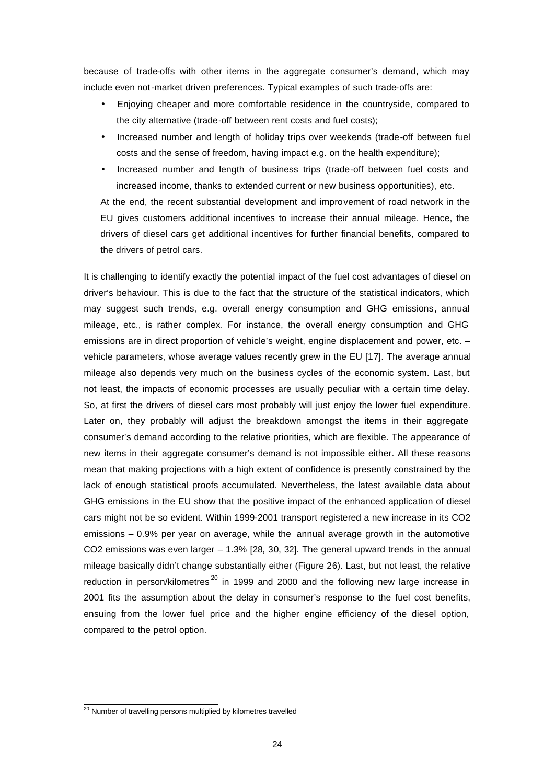because of trade-offs with other items in the aggregate consumer's demand, which may include even not-market driven preferences. Typical examples of such trade-offs are:

- Enjoying cheaper and more comfortable residence in the countryside, compared to the city alternative (trade-off between rent costs and fuel costs);
- Increased number and length of holiday trips over weekends (trade-off between fuel costs and the sense of freedom, having impact e.g. on the health expenditure);
- Increased number and length of business trips (trade-off between fuel costs and increased income, thanks to extended current or new business opportunities), etc.

At the end, the recent substantial development and improvement of road network in the EU gives customers additional incentives to increase their annual mileage. Hence, the drivers of diesel cars get additional incentives for further financial benefits, compared to the drivers of petrol cars.

It is challenging to identify exactly the potential impact of the fuel cost advantages of diesel on driver's behaviour. This is due to the fact that the structure of the statistical indicators, which may suggest such trends, e.g. overall energy consumption and GHG emissions, annual mileage, etc., is rather complex. For instance, the overall energy consumption and GHG emissions are in direct proportion of vehicle's weight, engine displacement and power, etc. – vehicle parameters, whose average values recently grew in the EU [17]. The average annual mileage also depends very much on the business cycles of the economic system. Last, but not least, the impacts of economic processes are usually peculiar with a certain time delay. So, at first the drivers of diesel cars most probably will just enjoy the lower fuel expenditure. Later on, they probably will adjust the breakdown amongst the items in their aggregate consumer's demand according to the relative priorities, which are flexible. The appearance of new items in their aggregate consumer's demand is not impossible either. All these reasons mean that making projections with a high extent of confidence is presently constrained by the lack of enough statistical proofs accumulated. Nevertheless, the latest available data about GHG emissions in the EU show that the positive impact of the enhanced application of diesel cars might not be so evident. Within 1999-2001 transport registered a new increase in its CO2 emissions – 0.9% per year on average, while the annual average growth in the automotive CO2 emissions was even larger  $-1.3\%$  [28, 30, 32]. The general upward trends in the annual mileage basically didn't change substantially either (Figure 26). Last, but not least, the relative reduction in person/kilometres<sup>20</sup> in 1999 and 2000 and the following new large increase in 2001 fits the assumption about the delay in consumer's response to the fuel cost benefits, ensuing from the lower fuel price and the higher engine efficiency of the diesel option, compared to the petrol option.

<sup>&</sup>lt;sup>20</sup> Number of travelling persons multiplied by kilometres travelled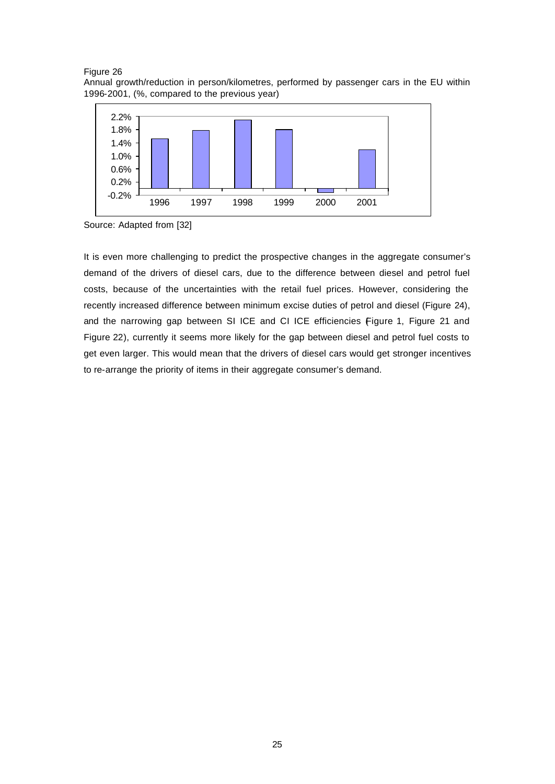



Source: Adapted from [32]

It is even more challenging to predict the prospective changes in the aggregate consumer's demand of the drivers of diesel cars, due to the difference between diesel and petrol fuel costs, because of the uncertainties with the retail fuel prices. However, considering the recently increased difference between minimum excise duties of petrol and diesel (Figure 24), and the narrowing gap between SI ICE and CI ICE efficiencies Figure 1, Figure 21 and Figure 22), currently it seems more likely for the gap between diesel and petrol fuel costs to get even larger. This would mean that the drivers of diesel cars would get stronger incentives to re-arrange the priority of items in their aggregate consumer's demand.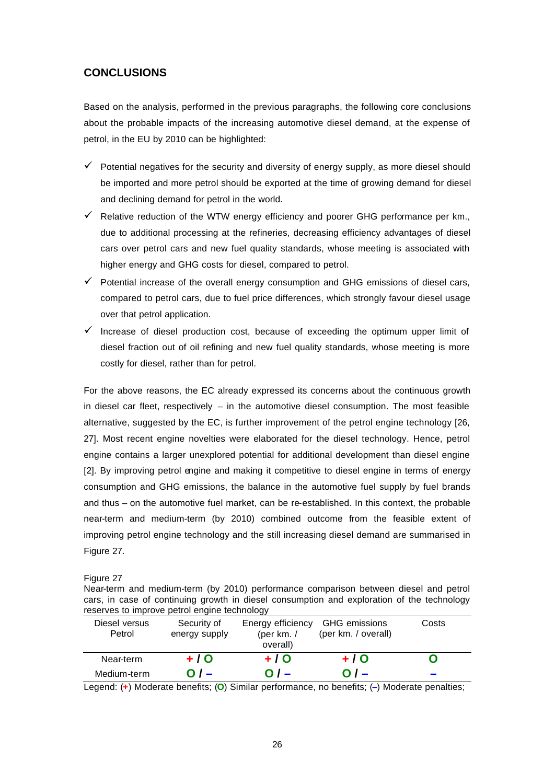# **CONCLUSIONS**

Based on the analysis, performed in the previous paragraphs, the following core conclusions about the probable impacts of the increasing automotive diesel demand, at the expense of petrol, in the EU by 2010 can be highlighted:

- $\checkmark$  Potential negatives for the security and diversity of energy supply, as more diesel should be imported and more petrol should be exported at the time of growing demand for diesel and declining demand for petrol in the world.
- $\checkmark$  Relative reduction of the WTW energy efficiency and poorer GHG performance per km., due to additional processing at the refineries, decreasing efficiency advantages of diesel cars over petrol cars and new fuel quality standards, whose meeting is associated with higher energy and GHG costs for diesel, compared to petrol.
- $\checkmark$  Potential increase of the overall energy consumption and GHG emissions of diesel cars, compared to petrol cars, due to fuel price differences, which strongly favour diesel usage over that petrol application.
- $\checkmark$  Increase of diesel production cost, because of exceeding the optimum upper limit of diesel fraction out of oil refining and new fuel quality standards, whose meeting is more costly for diesel, rather than for petrol.

For the above reasons, the EC already expressed its concerns about the continuous growth in diesel car fleet, respectively  $-$  in the automotive diesel consumption. The most feasible alternative, suggested by the EC, is further improvement of the petrol engine technology [26, 27]. Most recent engine novelties were elaborated for the diesel technology. Hence, petrol engine contains a larger unexplored potential for additional development than diesel engine [2]. By improving petrol engine and making it competitive to diesel engine in terms of energy consumption and GHG emissions, the balance in the automotive fuel supply by fuel brands and thus – on the automotive fuel market, can be re-established. In this context, the probable near-term and medium-term (by 2010) combined outcome from the feasible extent of improving petrol engine technology and the still increasing diesel demand are summarised in Figure 27.

Figure 27

Near-term and medium-term (by 2010) performance comparison between diesel and petrol cars, in case of continuing growth in diesel consumption and exploration of the technology reserves to improve petrol engine technology

| Diesel versus<br>Petrol | Security of<br>energy supply | Energy efficiency<br>(per km. $/$ | GHG emissions<br>(per km. / overall) | Costs |  |  |  |
|-------------------------|------------------------------|-----------------------------------|--------------------------------------|-------|--|--|--|
|                         |                              | overall)                          |                                      |       |  |  |  |
| Near-term               | + / O                        | +10                               | +10                                  |       |  |  |  |
| Medium-term             |                              |                                   |                                      |       |  |  |  |

Legend: (**+**) Moderate benefits; (**O**) Similar performance, no benefits; (**–**) Moderate penalties;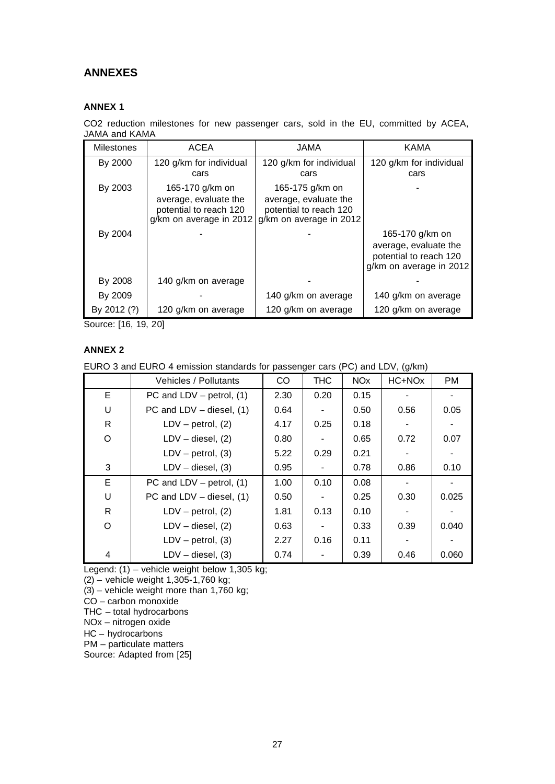# **ANNEXES**

# **ANNEX 1**

CO2 reduction milestones for new passenger cars, sold in the EU, committed by ACEA, JAMA and KAMA

| <b>Milestones</b> | <b>ACEA</b>                                                                                   | <b>JAMA</b>                                                                                   | <b>KAMA</b>                                                                                   |
|-------------------|-----------------------------------------------------------------------------------------------|-----------------------------------------------------------------------------------------------|-----------------------------------------------------------------------------------------------|
| By 2000           | 120 g/km for individual<br>cars                                                               | 120 g/km for individual<br>cars                                                               | 120 g/km for individual<br>cars                                                               |
| By 2003           | 165-170 g/km on<br>average, evaluate the<br>potential to reach 120<br>g/km on average in 2012 | 165-175 g/km on<br>average, evaluate the<br>potential to reach 120<br>g/km on average in 2012 |                                                                                               |
| By 2004           |                                                                                               |                                                                                               | 165-170 g/km on<br>average, evaluate the<br>potential to reach 120<br>g/km on average in 2012 |
| By 2008           | 140 g/km on average                                                                           |                                                                                               |                                                                                               |
| By 2009           |                                                                                               | 140 g/km on average                                                                           | 140 g/km on average                                                                           |
| By 2012 (?)       | 120 g/km on average                                                                           | 120 g/km on average                                                                           | 120 g/km on average                                                                           |

Source: [16, 19, 20]

## **ANNEX 2**

EURO 3 and EURO 4 emission standards for passenger cars (PC) and LDV, (g/km)

|          | Vehicles / Pollutants       | CO   | <b>THC</b> | <b>NO<sub>x</sub></b> | HC+NOx | <b>PM</b> |
|----------|-----------------------------|------|------------|-----------------------|--------|-----------|
| E.       | PC and $LDV - petrol, (1)$  | 2.30 | 0.20       | 0.15                  |        |           |
| U        | PC and $LDV - diesel$ , (1) | 0.64 |            | 0.50                  | 0.56   | 0.05      |
| R        | $LDV - petrol, (2)$         | 4.17 | 0.25       | 0.18                  |        |           |
| O        | $LDV - diesel, (2)$         | 0.80 |            | 0.65                  | 0.72   | 0.07      |
|          | $LDV - petrol, (3)$         | 5.22 | 0.29       | 0.21                  |        |           |
| 3        | $LDV - diesel, (3)$         | 0.95 |            | 0.78                  | 0.86   | 0.10      |
| E        | PC and LDV $-$ petrol, (1)  | 1.00 | 0.10       | 0.08                  |        |           |
| U        | PC and LDV - diesel, (1)    | 0.50 |            | 0.25                  | 0.30   | 0.025     |
| R        | $LDV - petrol, (2)$         | 1.81 | 0.13       | 0.10                  |        |           |
| $\Omega$ | $LDV - diesel, (2)$         | 0.63 |            | 0.33                  | 0.39   | 0.040     |
|          | $LDV - petrol, (3)$         | 2.27 | 0.16       | 0.11                  |        |           |
| 4        | $LDV - diesel, (3)$         | 0.74 |            | 0.39                  | 0.46   | 0.060     |

Legend: (1) – vehicle weight below 1,305 kg;

(2) – vehicle weight 1,305-1,760 kg;

(3) – vehicle weight more than 1,760 kg;

CO – carbon monoxide

THC – total hydrocarbons

NOx – nitrogen oxide

HC – hydrocarbons

PM – particulate matters

Source: Adapted from [25]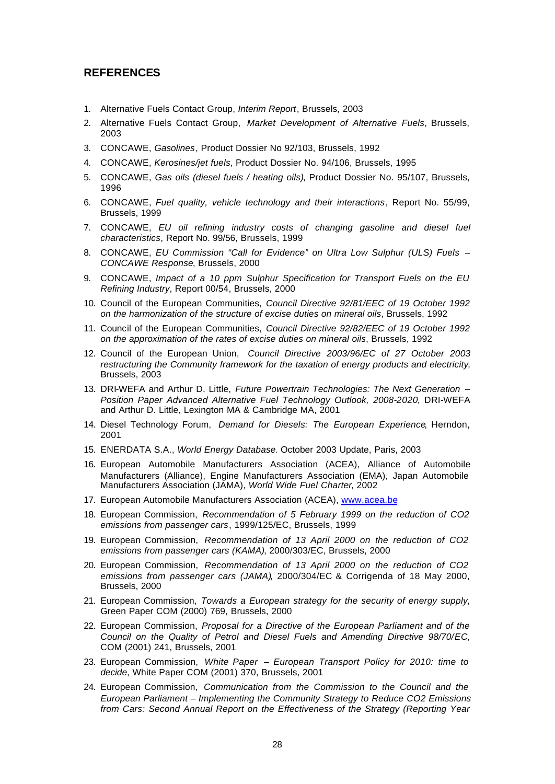# **REFERENCES**

- 1. Alternative Fuels Contact Group, *Interim Report*, Brussels, 2003
- 2. Alternative Fuels Contact Group, *Market Development of Alternative Fuels*, Brussels, 2003
- 3. CONCAWE, *Gasolines*, Product Dossier No 92/103, Brussels, 1992
- 4. CONCAWE, *Kerosines/jet fuels*, Product Dossier No. 94/106, Brussels, 1995
- 5. CONCAWE, *Gas oils (diesel fuels / heating oils)*, Product Dossier No. 95/107, Brussels, 1996
- 6. CONCAWE, *Fuel quality, vehicle technology and their interactions*, Report No. 55/99, Brussels, 1999
- 7. CONCAWE, *EU oil refining industry costs of changing gasoline and diesel fuel characteristics*, Report No. 99/56, Brussels, 1999
- 8. CONCAWE, *EU Commission "Call for Evidence" on Ultra Low Sulphur (ULS) Fuels – CONCAWE Response*, Brussels, 2000
- 9. CONCAWE, *Impact of a 10 ppm Sulphur Specification for Transport Fuels on the EU Refining Industry*, Report 00/54, Brussels, 2000
- 10. Council of the European Communities, *Council Directive 92/81/EEC of 19 October 1992 on the harmonization of the structure of excise duties on mineral oils*, Brussels, 1992
- 11. Council of the European Communities, *Council Directive 92/82/EEC of 19 October 1992 on the approximation of the rates of excise duties on mineral oils*, Brussels, 1992
- 12. Council of the European Union, *Council Directive 2003/96/EC of 27 October 2003 restructuring the Community framework for the taxation of energy products and electricity*, Brussels, 2003
- 13. DRI-WEFA and Arthur D. Little, *Future Powertrain Technologies: The Next Generation – Position Paper Advanced Alternative Fuel Technology Outlook, 2008-2020*, DRI-WEFA and Arthur D. Little, Lexington MA & Cambridge MA, 2001
- 14. Diesel Technology Forum, *Demand for Diesels: The European Experience*, Herndon, 2001
- 15. ENERDATA S.A., *World Energy Database*. October 2003 Update, Paris, 2003
- 16. European Automobile Manufacturers Association (ACEA), Alliance of Automobile Manufacturers (Alliance), Engine Manufacturers Association (EMA), Japan Automobile Manufacturers Association (JAMA), *World Wide Fuel Charter*, 2002
- 17. European Automobile Manufacturers Association (ACEA), www.acea.be
- 18. European Commission, *Recommendation of 5 February 1999 on the reduction of CO2 emissions from passenger cars*, 1999/125/EC, Brussels, 1999
- 19. European Commission, *Recommendation of 13 April 2000 on the reduction of CO2 emissions from passenger cars (KAMA)*, 2000/303/EC, Brussels, 2000
- 20. European Commission, *Recommendation of 13 April 2000 on the reduction of CO2 emissions from passenger cars (JAMA)*, 2000/304/EC & Corrigenda of 18 May 2000, Brussels, 2000
- 21. European Commission, *Towards a European strategy for the security of energy supply*, Green Paper COM (2000) 769, Brussels, 2000
- 22. European Commission, *Proposal for a Directive of the European Parliament and of the Council on the Quality of Petrol and Diesel Fuels and Amending Directive 98/70/EC*, COM (2001) 241, Brussels, 2001
- 23. European Commission, *White Paper European Transport Policy for 2010: time to decide*, White Paper COM (2001) 370, Brussels, 2001
- 24. European Commission, *Communication from the Commission to the Council and the European Parliament – Implementing the Community Strategy to Reduce CO2 Emissions from Cars: Second Annual Report on the Effectiveness of the Strategy (Reporting Year*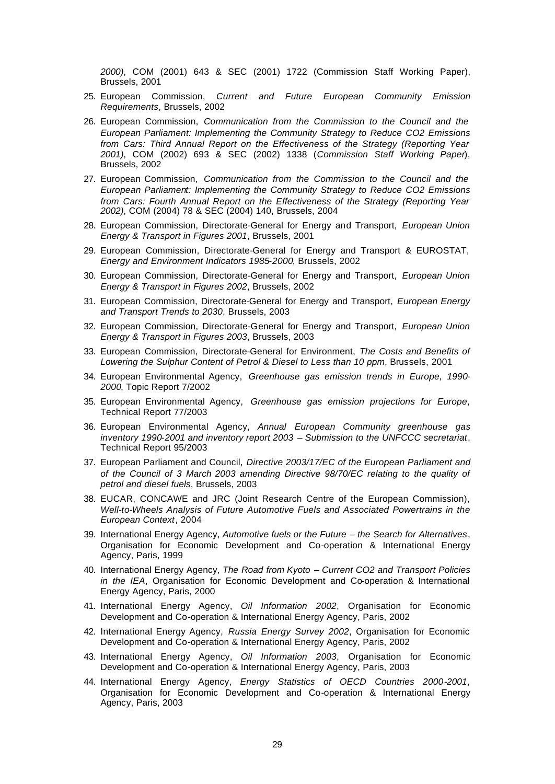*2000)*, COM (2001) 643 & SEC (2001) 1722 (Commission Staff Working Paper), Brussels, 2001

- 25. European Commission, *Current and Future European Community Emission Requirements*, Brussels, 2002
- 26. European Commission, *Communication from the Commission to the Council and the European Parliament: Implementing the Community Strategy to Reduce CO2 Emissions from Cars: Third Annual Report on the Effectiveness of the Strategy (Reporting Year 2001)*, COM (2002) 693 & SEC (2002) 1338 (*Commission Staff Working Paper*), Brussels, 2002
- 27. European Commission, *Communication from the Commission to the Council and the European Parliament: Implementing the Community Strategy to Reduce CO2 Emissions from Cars: Fourth Annual Report on the Effectiveness of the Strategy (Reporting Year 2002)*, COM (2004) 78 & SEC (2004) 140, Brussels, 2004
- 28. European Commission, Directorate-General for Energy and Transport, *European Union Energy & Transport in Figures 2001*, Brussels, 2001
- 29. European Commission, Directorate-General for Energy and Transport & EUROSTAT, *Energy and Environment Indicators 1985-2000*, Brussels, 2002
- 30. European Commission, Directorate-General for Energy and Transport, *European Union Energy & Transport in Figures 2002*, Brussels, 2002
- 31. European Commission, Directorate-General for Energy and Transport, *European Energy and Transport Trends to 2030*, Brussels, 2003
- 32. European Commission, Directorate-General for Energy and Transport, *European Union Energy & Transport in Figures 2003*, Brussels, 2003
- 33. European Commission, Directorate-General for Environment, *The Costs and Benefits of Lowering the Sulphur Content of Petrol & Diesel to Less than 10 ppm*, Brussels, 2001
- 34. European Environmental Agency, *Greenhouse gas emission trends in Europe, 1990- 2000*, Topic Report 7/2002
- 35. European Environmental Agency, *Greenhouse gas emission projections for Europe*, Technical Report 77/2003
- 36. European Environmental Agency, *Annual European Community greenhouse gas inventory 1990-2001 and inventory report 2003 – Submission to the UNFCCC secretariat*, Technical Report 95/2003
- 37. European Parliament and Council, *Directive 2003/17/EC of the European Parliament and of the Council of 3 March 2003 amending Directive 98/70/EC relating to the quality of petrol and diesel fuels*, Brussels, 2003
- 38. EUCAR, CONCAWE and JRC (Joint Research Centre of the European Commission), *Well-to-Wheels Analysis of Future Automotive Fuels and Associated Powertrains in the European Context*, 2004
- 39. International Energy Agency, *Automotive fuels or the Future the Search for Alternatives*, Organisation for Economic Development and Co-operation & International Energy Agency, Paris, 1999
- 40. International Energy Agency, *The Road from Kyoto Current CO2 and Transport Policies in the IEA*, Organisation for Economic Development and Co-operation & International Energy Agency, Paris, 2000
- 41. International Energy Agency, *Oil Information 2002*, Organisation for Economic Development and Co-operation & International Energy Agency, Paris, 2002
- 42. International Energy Agency, *Russia Energy Survey 2002*, Organisation for Economic Development and Co-operation & International Energy Agency, Paris, 2002
- 43. International Energy Agency, *Oil Information 2003*, Organisation for Economic Development and Co-operation & International Energy Agency, Paris, 2003
- 44. International Energy Agency, *Energy Statistics of OECD Countries 2000-2001*, Organisation for Economic Development and Co-operation & International Energy Agency, Paris, 2003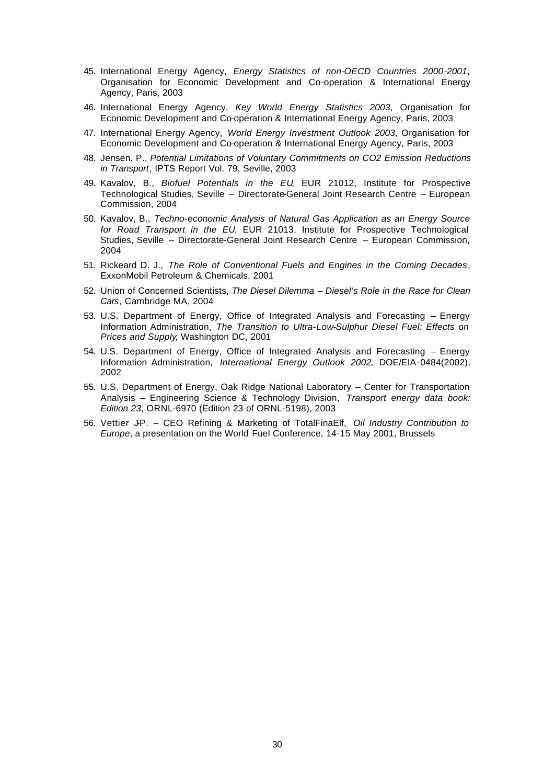- 45. International Energy Agency, *Energy Statistics of non-OECD Countries 2000-2001*, Organisation for Economic Development and Co-operation & International Energy Agency, Paris, 2003
- 46. International Energy Agency, *Key World Energy Statistics 2003*, Organisation for Economic Development and Co-operation & International Energy Agency, Paris, 2003
- 47. International Energy Agency, *World Energy Investment Outlook 2003*, Organisation for Economic Development and Co-operation & International Energy Agency, Paris, 2003
- 48. Jensen, P., *Potential Limitations of Voluntary Commitments on CO2 Emission Reductions in Transport*, IPTS Report Vol. 79, Seville, 2003
- 49. Kavalov, B., *Biofuel Potentials in the EU*, EUR 21012, Institute for Prospective Technological Studies, Seville – Directorate-General Joint Research Centre – European Commission, 2004
- 50. Kavalov, B., *Techno-economic Analysis of Natural Gas Application as an Energy Source for Road Transport in the EU*, EUR 21013, Institute for Prospective Technological Studies, Seville – Directorate-General Joint Research Centre – European Commission, 2004
- 51. Rickeard D. J., *The Role of Conventional Fuels and Engines in the Coming Decades*, ExxonMobil Petroleum & Chemicals, 2001
- 52. Union of Concerned Scientists, *The Diesel Dilemma Diesel's Role in the Race for Clean Cars*, Cambridge MA, 2004
- 53. U.S. Department of Energy, Office of Integrated Analysis and Forecasting Energy Information Administration, *The Transition to Ultra-Low-Sulphur Diesel Fuel: Effects on Prices and Supply*, Washington DC, 2001
- 54. U.S. Department of Energy, Office of Integrated Analysis and Forecasting Energy Information Administration, *International Energy Outlook 2002*, DOE/EIA-0484(2002), 2002
- 55. U.S. Department of Energy, Oak Ridge National Laboratory Center for Transportation Analysis – Engineering Science & Technology Division, *Transport energy data book: Edition 23*, ORNL-6970 (Edition 23 of ORNL-5198), 2003
- 56. Vettier J-P. CEO Refining & Marketing of TotalFinaElf, *Oil Industry Contribution to Europe*, a presentation on the World Fuel Conference, 14-15 May 2001, Brussels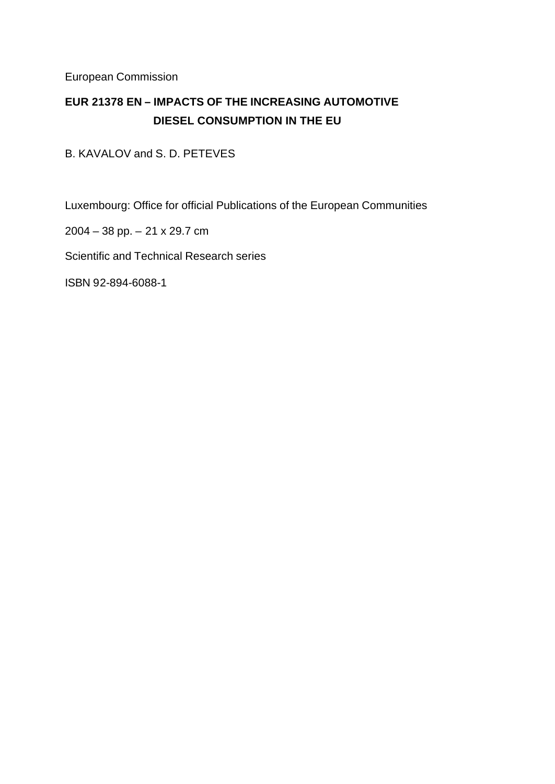European Commission

# **EUR 21378 EN – IMPACTS OF THE INCREASING AUTOMOTIVE DIESEL CONSUMPTION IN THE EU**

B. KAVALOV and S. D. PETEVES

Luxembourg: Office for official Publications of the European Communities

2004 – 38 pp. – 21 x 29.7 cm

Scientific and Technical Research series

ISBN 92-894-6088-1